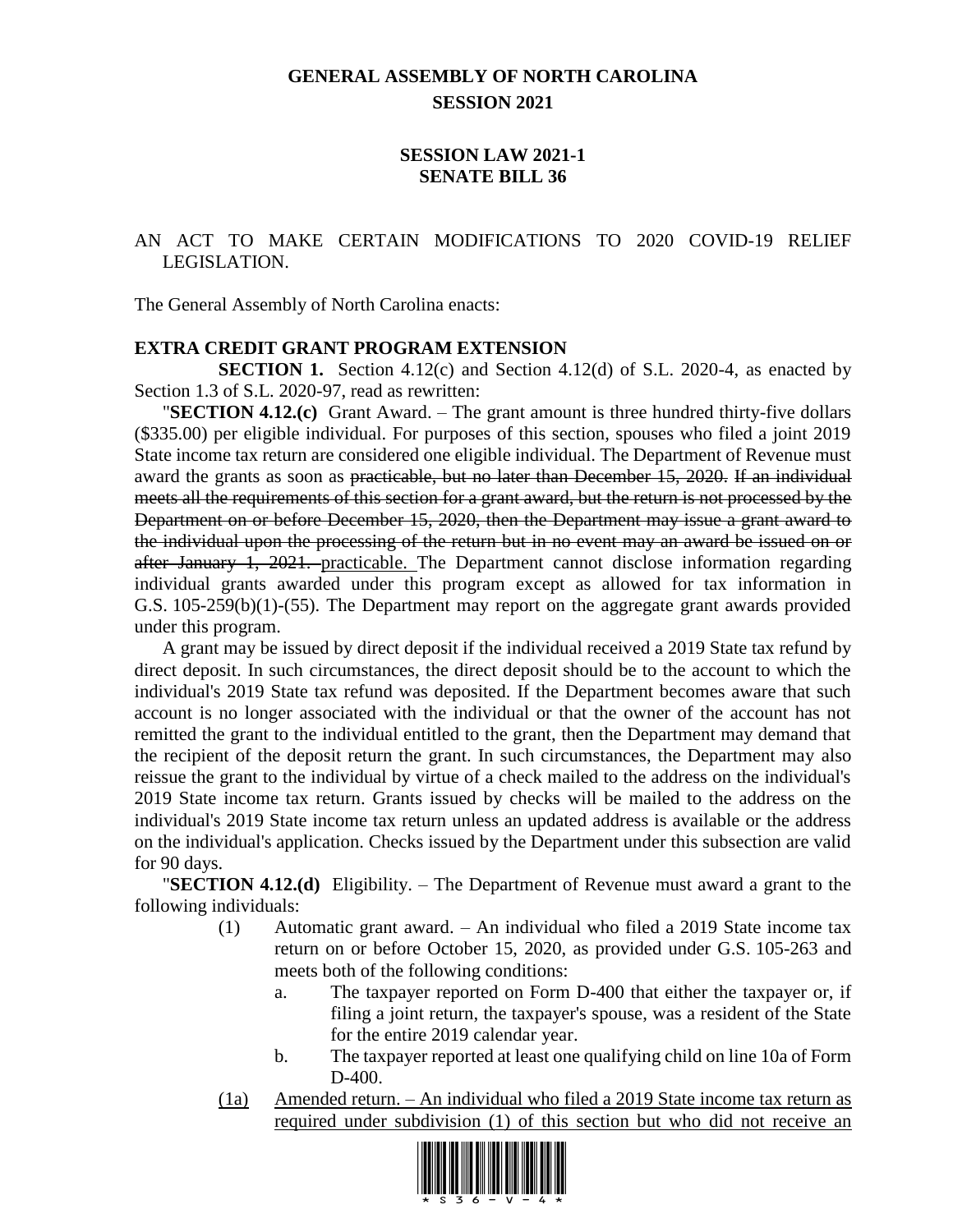# **GENERAL ASSEMBLY OF NORTH CAROLINA SESSION 2021**

## **SESSION LAW 2021-1 SENATE BILL 36**

## AN ACT TO MAKE CERTAIN MODIFICATIONS TO 2020 COVID-19 RELIEF LEGISLATION.

The General Assembly of North Carolina enacts:

#### **EXTRA CREDIT GRANT PROGRAM EXTENSION**

**SECTION 1.** Section 4.12(c) and Section 4.12(d) of S.L. 2020-4, as enacted by Section 1.3 of S.L. 2020-97, read as rewritten:

"**SECTION 4.12.(c)** Grant Award. – The grant amount is three hundred thirty-five dollars (\$335.00) per eligible individual. For purposes of this section, spouses who filed a joint 2019 State income tax return are considered one eligible individual. The Department of Revenue must award the grants as soon as practicable, but no later than December 15, 2020. If an individual meets all the requirements of this section for a grant award, but the return is not processed by the Department on or before December 15, 2020, then the Department may issue a grant award to the individual upon the processing of the return but in no event may an award be issued on or after January 1, 2021. practicable. The Department cannot disclose information regarding individual grants awarded under this program except as allowed for tax information in G.S. 105-259(b)(1)-(55). The Department may report on the aggregate grant awards provided under this program.

A grant may be issued by direct deposit if the individual received a 2019 State tax refund by direct deposit. In such circumstances, the direct deposit should be to the account to which the individual's 2019 State tax refund was deposited. If the Department becomes aware that such account is no longer associated with the individual or that the owner of the account has not remitted the grant to the individual entitled to the grant, then the Department may demand that the recipient of the deposit return the grant. In such circumstances, the Department may also reissue the grant to the individual by virtue of a check mailed to the address on the individual's 2019 State income tax return. Grants issued by checks will be mailed to the address on the individual's 2019 State income tax return unless an updated address is available or the address on the individual's application. Checks issued by the Department under this subsection are valid for 90 days.

"**SECTION 4.12.(d)** Eligibility. – The Department of Revenue must award a grant to the following individuals:

- (1) Automatic grant award. An individual who filed a 2019 State income tax return on or before October 15, 2020, as provided under G.S. 105-263 and meets both of the following conditions:
	- a. The taxpayer reported on Form D-400 that either the taxpayer or, if filing a joint return, the taxpayer's spouse, was a resident of the State for the entire 2019 calendar year.
	- b. The taxpayer reported at least one qualifying child on line 10a of Form D-400.
- (1a) Amended return. An individual who filed a 2019 State income tax return as required under subdivision (1) of this section but who did not receive an

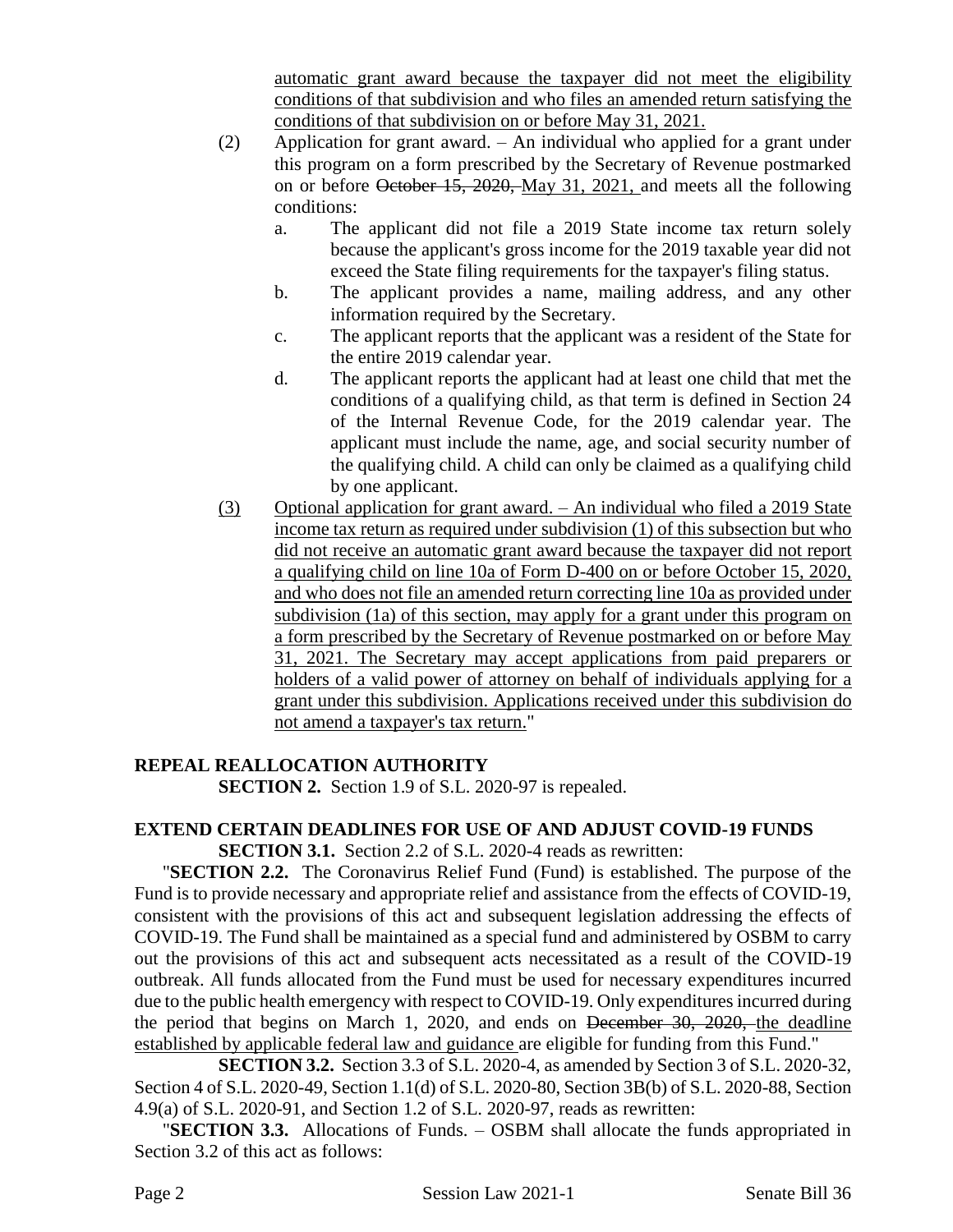automatic grant award because the taxpayer did not meet the eligibility conditions of that subdivision and who files an amended return satisfying the conditions of that subdivision on or before May 31, 2021.

- (2) Application for grant award. An individual who applied for a grant under this program on a form prescribed by the Secretary of Revenue postmarked on or before October 15, 2020, May 31, 2021, and meets all the following conditions:
	- a. The applicant did not file a 2019 State income tax return solely because the applicant's gross income for the 2019 taxable year did not exceed the State filing requirements for the taxpayer's filing status.
	- b. The applicant provides a name, mailing address, and any other information required by the Secretary.
	- c. The applicant reports that the applicant was a resident of the State for the entire 2019 calendar year.
	- d. The applicant reports the applicant had at least one child that met the conditions of a qualifying child, as that term is defined in Section 24 of the Internal Revenue Code, for the 2019 calendar year. The applicant must include the name, age, and social security number of the qualifying child. A child can only be claimed as a qualifying child by one applicant.
- (3) Optional application for grant award. An individual who filed a 2019 State income tax return as required under subdivision (1) of this subsection but who did not receive an automatic grant award because the taxpayer did not report a qualifying child on line 10a of Form D-400 on or before October 15, 2020, and who does not file an amended return correcting line 10a as provided under subdivision (1a) of this section, may apply for a grant under this program on a form prescribed by the Secretary of Revenue postmarked on or before May 31, 2021. The Secretary may accept applications from paid preparers or holders of a valid power of attorney on behalf of individuals applying for a grant under this subdivision. Applications received under this subdivision do not amend a taxpayer's tax return."

# **REPEAL REALLOCATION AUTHORITY**

**SECTION 2.** Section 1.9 of S.L. 2020-97 is repealed.

# **EXTEND CERTAIN DEADLINES FOR USE OF AND ADJUST COVID-19 FUNDS**

**SECTION 3.1.** Section 2.2 of S.L. 2020-4 reads as rewritten:

"**SECTION 2.2.** The Coronavirus Relief Fund (Fund) is established. The purpose of the Fund is to provide necessary and appropriate relief and assistance from the effects of COVID-19, consistent with the provisions of this act and subsequent legislation addressing the effects of COVID-19. The Fund shall be maintained as a special fund and administered by OSBM to carry out the provisions of this act and subsequent acts necessitated as a result of the COVID-19 outbreak. All funds allocated from the Fund must be used for necessary expenditures incurred due to the public health emergency with respect to COVID-19. Only expenditures incurred during the period that begins on March 1, 2020, and ends on December 30, 2020, the deadline established by applicable federal law and guidance are eligible for funding from this Fund."

**SECTION 3.2.** Section 3.3 of S.L. 2020-4, as amended by Section 3 of S.L. 2020-32, Section 4 of S.L. 2020-49, Section 1.1(d) of S.L. 2020-80, Section 3B(b) of S.L. 2020-88, Section 4.9(a) of S.L. 2020-91, and Section 1.2 of S.L. 2020-97, reads as rewritten:

"**SECTION 3.3.** Allocations of Funds. – OSBM shall allocate the funds appropriated in Section 3.2 of this act as follows: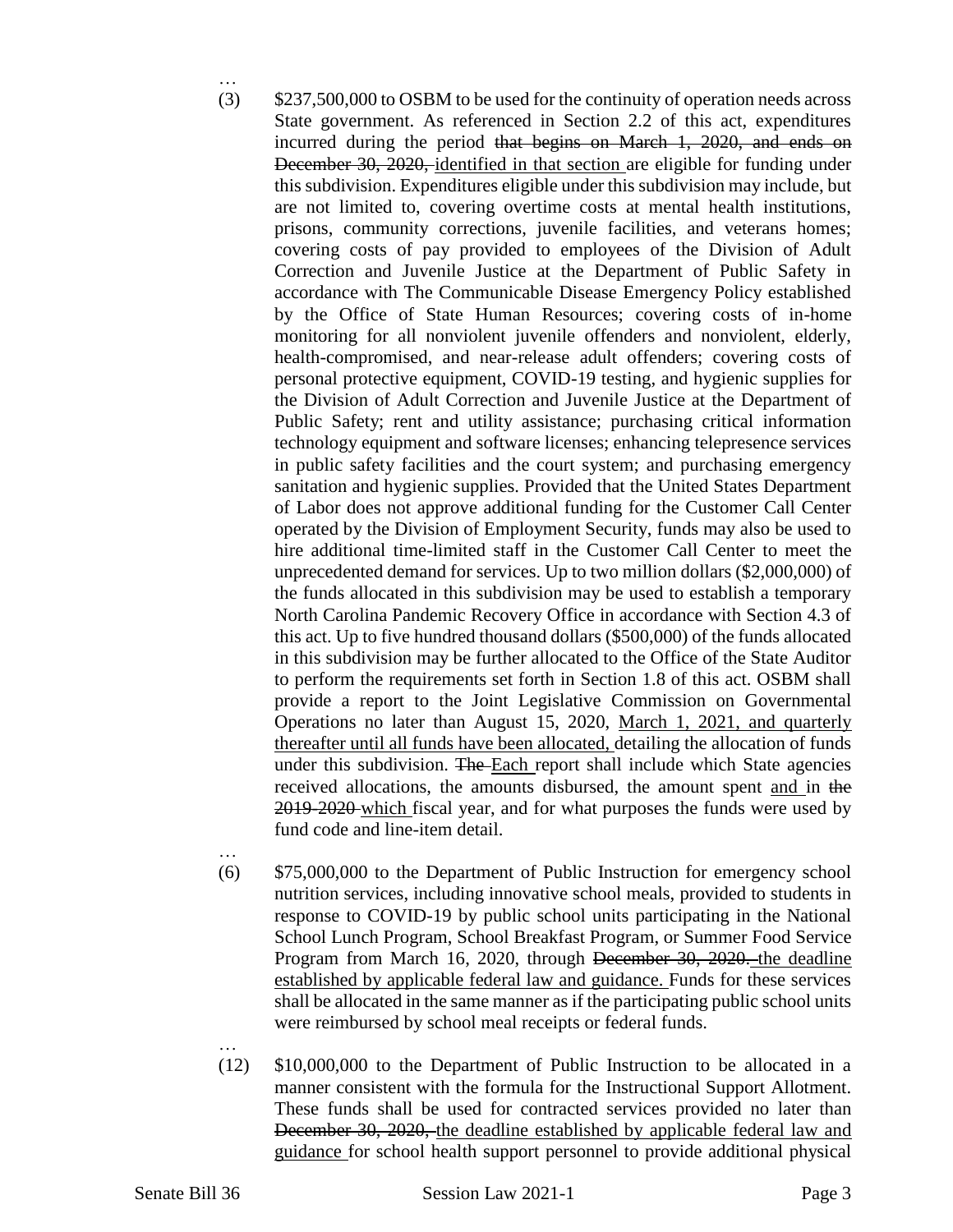- … (3) \$237,500,000 to OSBM to be used for the continuity of operation needs across State government. As referenced in Section 2.2 of this act, expenditures incurred during the period that begins on March 1, 2020, and ends on December 30, 2020, identified in that section are eligible for funding under this subdivision. Expenditures eligible under this subdivision may include, but are not limited to, covering overtime costs at mental health institutions, prisons, community corrections, juvenile facilities, and veterans homes; covering costs of pay provided to employees of the Division of Adult Correction and Juvenile Justice at the Department of Public Safety in accordance with The Communicable Disease Emergency Policy established by the Office of State Human Resources; covering costs of in-home monitoring for all nonviolent juvenile offenders and nonviolent, elderly, health-compromised, and near-release adult offenders; covering costs of personal protective equipment, COVID-19 testing, and hygienic supplies for the Division of Adult Correction and Juvenile Justice at the Department of Public Safety; rent and utility assistance; purchasing critical information technology equipment and software licenses; enhancing telepresence services in public safety facilities and the court system; and purchasing emergency sanitation and hygienic supplies. Provided that the United States Department of Labor does not approve additional funding for the Customer Call Center operated by the Division of Employment Security, funds may also be used to hire additional time-limited staff in the Customer Call Center to meet the unprecedented demand for services. Up to two million dollars (\$2,000,000) of the funds allocated in this subdivision may be used to establish a temporary North Carolina Pandemic Recovery Office in accordance with Section 4.3 of this act. Up to five hundred thousand dollars (\$500,000) of the funds allocated in this subdivision may be further allocated to the Office of the State Auditor to perform the requirements set forth in Section 1.8 of this act. OSBM shall provide a report to the Joint Legislative Commission on Governmental Operations no later than August 15, 2020, March 1, 2021, and quarterly thereafter until all funds have been allocated, detailing the allocation of funds under this subdivision. The Each report shall include which State agencies received allocations, the amounts disbursed, the amount spent and in the 2019-2020 which fiscal year, and for what purposes the funds were used by fund code and line-item detail.
- …

- (6) \$75,000,000 to the Department of Public Instruction for emergency school nutrition services, including innovative school meals, provided to students in response to COVID-19 by public school units participating in the National School Lunch Program, School Breakfast Program, or Summer Food Service Program from March 16, 2020, through December 30, 2020. the deadline established by applicable federal law and guidance. Funds for these services shall be allocated in the same manner as if the participating public school units were reimbursed by school meal receipts or federal funds.
- (12) \$10,000,000 to the Department of Public Instruction to be allocated in a manner consistent with the formula for the Instructional Support Allotment. These funds shall be used for contracted services provided no later than December 30, 2020, the deadline established by applicable federal law and guidance for school health support personnel to provide additional physical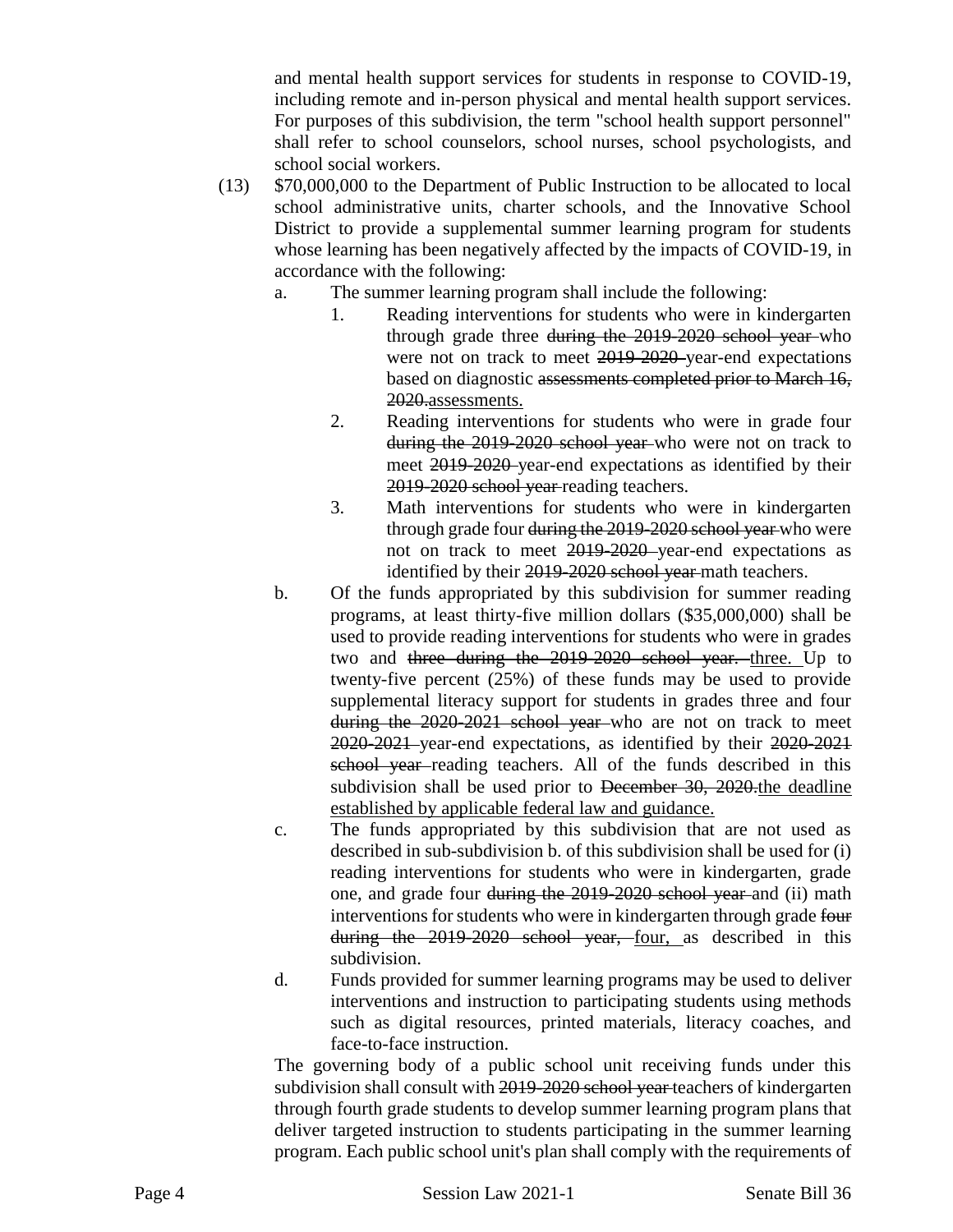and mental health support services for students in response to COVID-19, including remote and in-person physical and mental health support services. For purposes of this subdivision, the term "school health support personnel" shall refer to school counselors, school nurses, school psychologists, and school social workers.

- (13) \$70,000,000 to the Department of Public Instruction to be allocated to local school administrative units, charter schools, and the Innovative School District to provide a supplemental summer learning program for students whose learning has been negatively affected by the impacts of COVID-19, in accordance with the following:
	- a. The summer learning program shall include the following:
		- 1. Reading interventions for students who were in kindergarten through grade three during the 2019-2020 school year-who were not on track to meet 2019-2020-year-end expectations based on diagnostic assessments completed prior to March 16, 2020.assessments.
		- 2. Reading interventions for students who were in grade four during the 2019-2020 school year who were not on track to meet 2019-2020 year-end expectations as identified by their 2019-2020 school year reading teachers.
		- 3. Math interventions for students who were in kindergarten through grade four during the 2019-2020 school year who were not on track to meet 2019-2020 year-end expectations as identified by their 2019-2020 school year-math teachers.
	- b. Of the funds appropriated by this subdivision for summer reading programs, at least thirty-five million dollars (\$35,000,000) shall be used to provide reading interventions for students who were in grades two and three during the 2019-2020 school year. three. Up to twenty-five percent (25%) of these funds may be used to provide supplemental literacy support for students in grades three and four during the 2020-2021 school year who are not on track to meet 2020-2021 year-end expectations, as identified by their 2020-2021 school year-reading teachers. All of the funds described in this subdivision shall be used prior to December 30, 2020 the deadline established by applicable federal law and guidance.
	- c. The funds appropriated by this subdivision that are not used as described in sub-subdivision b. of this subdivision shall be used for (i) reading interventions for students who were in kindergarten, grade one, and grade four during the 2019-2020 school year and (ii) math interventions for students who were in kindergarten through grade four during the 2019-2020 school year, four, as described in this subdivision.
	- d. Funds provided for summer learning programs may be used to deliver interventions and instruction to participating students using methods such as digital resources, printed materials, literacy coaches, and face-to-face instruction.

The governing body of a public school unit receiving funds under this subdivision shall consult with 2019-2020 school year-teachers of kindergarten through fourth grade students to develop summer learning program plans that deliver targeted instruction to students participating in the summer learning program. Each public school unit's plan shall comply with the requirements of

Page 4 Session Law 2021-1 Senate Bill 36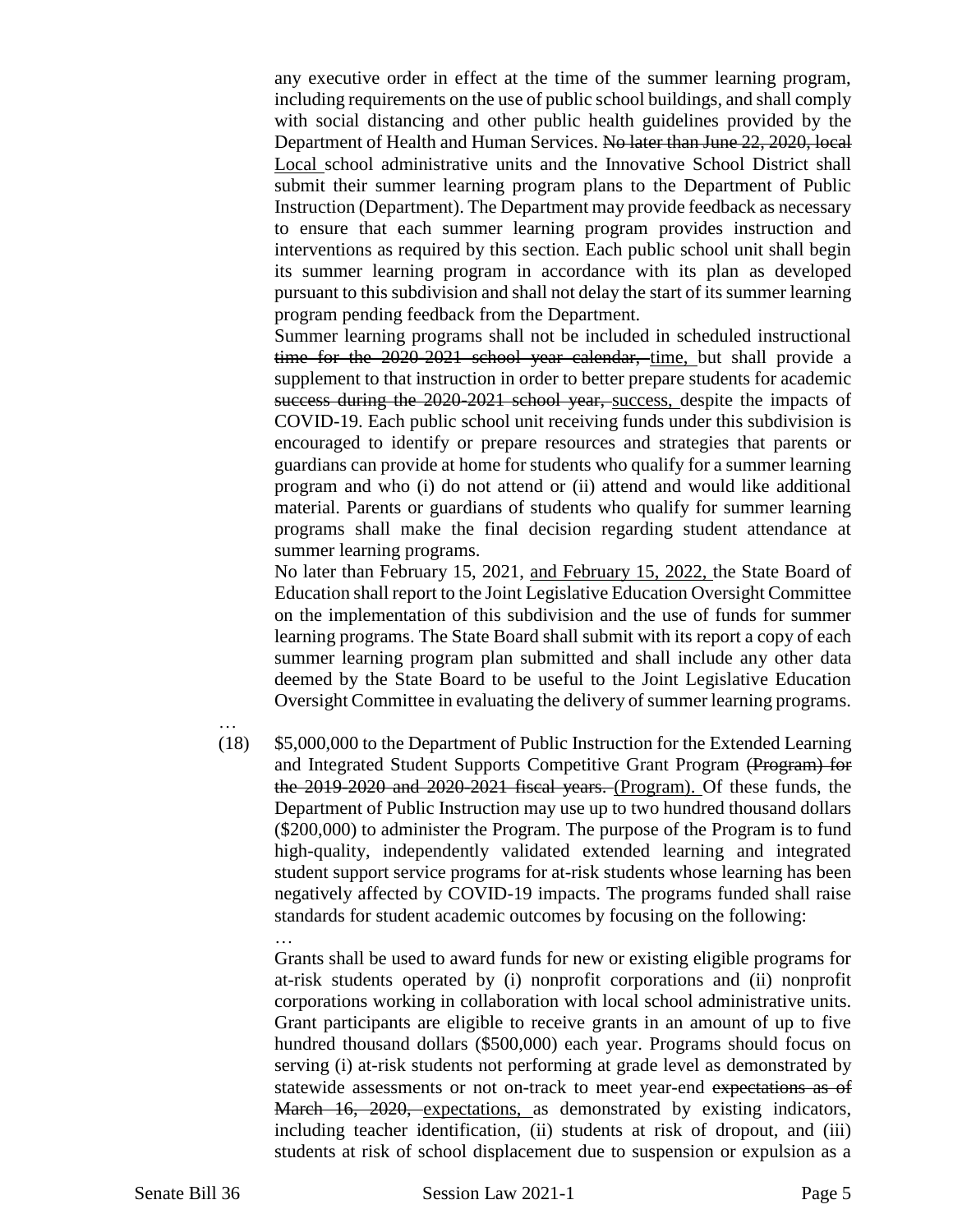any executive order in effect at the time of the summer learning program, including requirements on the use of public school buildings, and shall comply with social distancing and other public health guidelines provided by the Department of Health and Human Services. No later than June 22, 2020, local Local school administrative units and the Innovative School District shall submit their summer learning program plans to the Department of Public Instruction (Department). The Department may provide feedback as necessary to ensure that each summer learning program provides instruction and interventions as required by this section. Each public school unit shall begin its summer learning program in accordance with its plan as developed pursuant to this subdivision and shall not delay the start of its summer learning program pending feedback from the Department.

Summer learning programs shall not be included in scheduled instructional time for the 2020-2021 school year calendar, time, but shall provide a supplement to that instruction in order to better prepare students for academic success during the 2020-2021 school year, success, despite the impacts of COVID-19. Each public school unit receiving funds under this subdivision is encouraged to identify or prepare resources and strategies that parents or guardians can provide at home for students who qualify for a summer learning program and who (i) do not attend or (ii) attend and would like additional material. Parents or guardians of students who qualify for summer learning programs shall make the final decision regarding student attendance at summer learning programs.

No later than February 15, 2021, and February 15, 2022, the State Board of Education shall report to the Joint Legislative Education Oversight Committee on the implementation of this subdivision and the use of funds for summer learning programs. The State Board shall submit with its report a copy of each summer learning program plan submitted and shall include any other data deemed by the State Board to be useful to the Joint Legislative Education Oversight Committee in evaluating the delivery of summer learning programs.

- …
- (18) \$5,000,000 to the Department of Public Instruction for the Extended Learning and Integrated Student Supports Competitive Grant Program (Program) for the 2019-2020 and 2020-2021 fiscal years. (Program). Of these funds, the Department of Public Instruction may use up to two hundred thousand dollars (\$200,000) to administer the Program. The purpose of the Program is to fund high-quality, independently validated extended learning and integrated student support service programs for at-risk students whose learning has been negatively affected by COVID-19 impacts. The programs funded shall raise standards for student academic outcomes by focusing on the following: …

Grants shall be used to award funds for new or existing eligible programs for at-risk students operated by (i) nonprofit corporations and (ii) nonprofit corporations working in collaboration with local school administrative units. Grant participants are eligible to receive grants in an amount of up to five hundred thousand dollars (\$500,000) each year. Programs should focus on serving (i) at-risk students not performing at grade level as demonstrated by statewide assessments or not on-track to meet year-end expectations as of March 16, 2020, expectations, as demonstrated by existing indicators, including teacher identification, (ii) students at risk of dropout, and (iii) students at risk of school displacement due to suspension or expulsion as a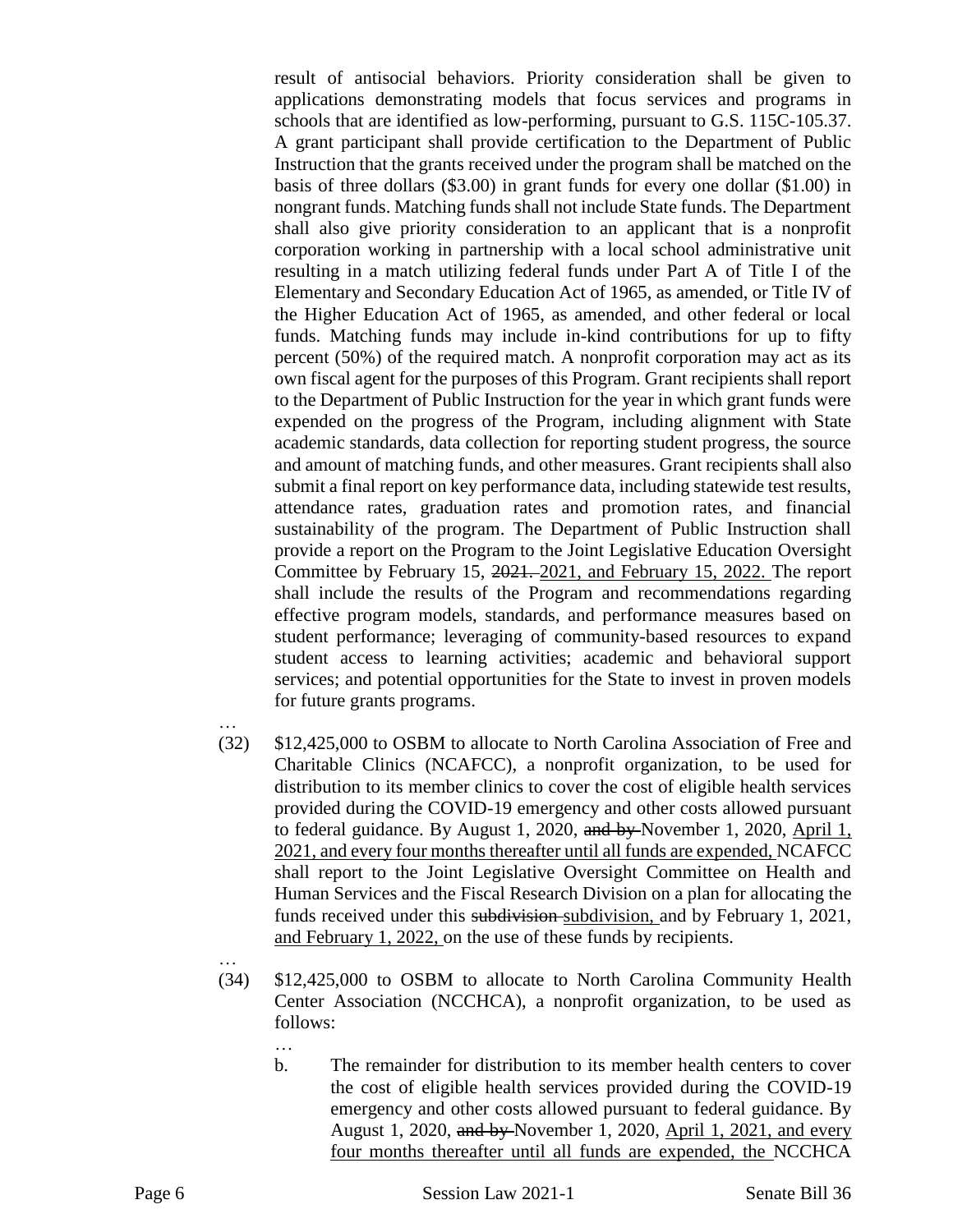result of antisocial behaviors. Priority consideration shall be given to applications demonstrating models that focus services and programs in schools that are identified as low-performing, pursuant to G.S. 115C-105.37. A grant participant shall provide certification to the Department of Public Instruction that the grants received under the program shall be matched on the basis of three dollars (\$3.00) in grant funds for every one dollar (\$1.00) in nongrant funds. Matching funds shall not include State funds. The Department shall also give priority consideration to an applicant that is a nonprofit corporation working in partnership with a local school administrative unit resulting in a match utilizing federal funds under Part A of Title I of the Elementary and Secondary Education Act of 1965, as amended, or Title IV of the Higher Education Act of 1965, as amended, and other federal or local funds. Matching funds may include in-kind contributions for up to fifty percent (50%) of the required match. A nonprofit corporation may act as its own fiscal agent for the purposes of this Program. Grant recipients shall report to the Department of Public Instruction for the year in which grant funds were expended on the progress of the Program, including alignment with State academic standards, data collection for reporting student progress, the source and amount of matching funds, and other measures. Grant recipients shall also submit a final report on key performance data, including statewide test results, attendance rates, graduation rates and promotion rates, and financial sustainability of the program. The Department of Public Instruction shall provide a report on the Program to the Joint Legislative Education Oversight Committee by February 15, 2021. 2021, and February 15, 2022. The report shall include the results of the Program and recommendations regarding effective program models, standards, and performance measures based on student performance; leveraging of community-based resources to expand student access to learning activities; academic and behavioral support services; and potential opportunities for the State to invest in proven models for future grants programs.

- …
- (32) \$12,425,000 to OSBM to allocate to North Carolina Association of Free and Charitable Clinics (NCAFCC), a nonprofit organization, to be used for distribution to its member clinics to cover the cost of eligible health services provided during the COVID-19 emergency and other costs allowed pursuant to federal guidance. By August 1, 2020, and by November 1, 2020, April 1, 2021, and every four months thereafter until all funds are expended, NCAFCC shall report to the Joint Legislative Oversight Committee on Health and Human Services and the Fiscal Research Division on a plan for allocating the funds received under this subdivision subdivision, and by February 1, 2021, and February 1, 2022, on the use of these funds by recipients.
- …

- (34) \$12,425,000 to OSBM to allocate to North Carolina Community Health Center Association (NCCHCA), a nonprofit organization, to be used as follows:
	- b. The remainder for distribution to its member health centers to cover the cost of eligible health services provided during the COVID-19 emergency and other costs allowed pursuant to federal guidance. By August 1, 2020, and by November 1, 2020, April 1, 2021, and every four months thereafter until all funds are expended, the NCCHCA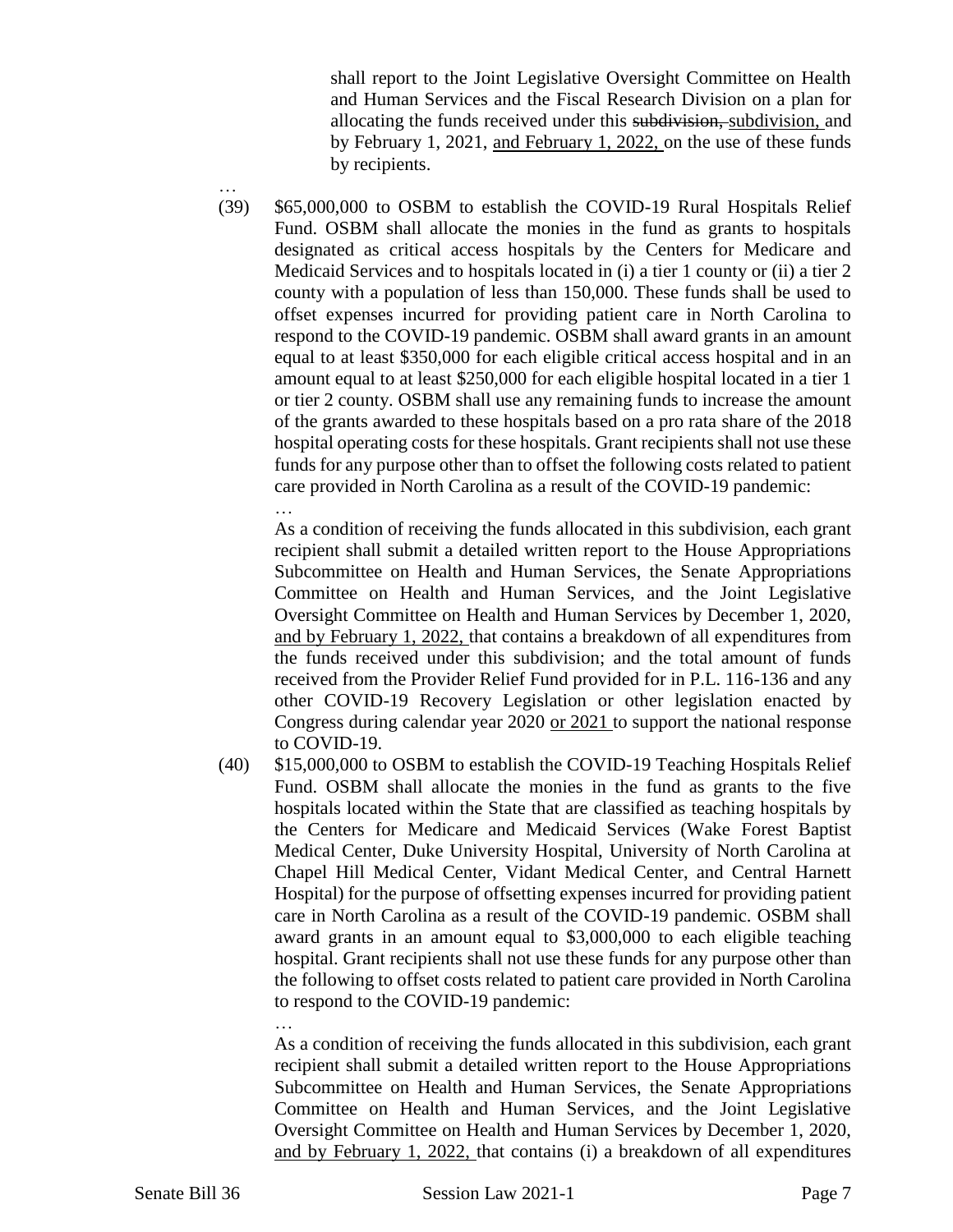shall report to the Joint Legislative Oversight Committee on Health and Human Services and the Fiscal Research Division on a plan for allocating the funds received under this subdivision, subdivision, and by February 1, 2021, and February 1, 2022, on the use of these funds by recipients.

… (39) \$65,000,000 to OSBM to establish the COVID-19 Rural Hospitals Relief Fund. OSBM shall allocate the monies in the fund as grants to hospitals designated as critical access hospitals by the Centers for Medicare and Medicaid Services and to hospitals located in (i) a tier 1 county or (ii) a tier 2 county with a population of less than 150,000. These funds shall be used to offset expenses incurred for providing patient care in North Carolina to respond to the COVID-19 pandemic. OSBM shall award grants in an amount equal to at least \$350,000 for each eligible critical access hospital and in an amount equal to at least \$250,000 for each eligible hospital located in a tier 1 or tier 2 county. OSBM shall use any remaining funds to increase the amount of the grants awarded to these hospitals based on a pro rata share of the 2018 hospital operating costs for these hospitals. Grant recipients shall not use these funds for any purpose other than to offset the following costs related to patient care provided in North Carolina as a result of the COVID-19 pandemic: …

As a condition of receiving the funds allocated in this subdivision, each grant recipient shall submit a detailed written report to the House Appropriations Subcommittee on Health and Human Services, the Senate Appropriations Committee on Health and Human Services, and the Joint Legislative Oversight Committee on Health and Human Services by December 1, 2020, and by February 1, 2022, that contains a breakdown of all expenditures from the funds received under this subdivision; and the total amount of funds received from the Provider Relief Fund provided for in P.L. 116-136 and any other COVID-19 Recovery Legislation or other legislation enacted by Congress during calendar year 2020 or 2021 to support the national response to COVID-19.

(40) \$15,000,000 to OSBM to establish the COVID-19 Teaching Hospitals Relief Fund. OSBM shall allocate the monies in the fund as grants to the five hospitals located within the State that are classified as teaching hospitals by the Centers for Medicare and Medicaid Services (Wake Forest Baptist Medical Center, Duke University Hospital, University of North Carolina at Chapel Hill Medical Center, Vidant Medical Center, and Central Harnett Hospital) for the purpose of offsetting expenses incurred for providing patient care in North Carolina as a result of the COVID-19 pandemic. OSBM shall award grants in an amount equal to \$3,000,000 to each eligible teaching hospital. Grant recipients shall not use these funds for any purpose other than the following to offset costs related to patient care provided in North Carolina to respond to the COVID-19 pandemic:

As a condition of receiving the funds allocated in this subdivision, each grant recipient shall submit a detailed written report to the House Appropriations Subcommittee on Health and Human Services, the Senate Appropriations Committee on Health and Human Services, and the Joint Legislative Oversight Committee on Health and Human Services by December 1, 2020, and by February 1, 2022, that contains (i) a breakdown of all expenditures

…

Senate Bill 36 Session Law 2021-1 Page 7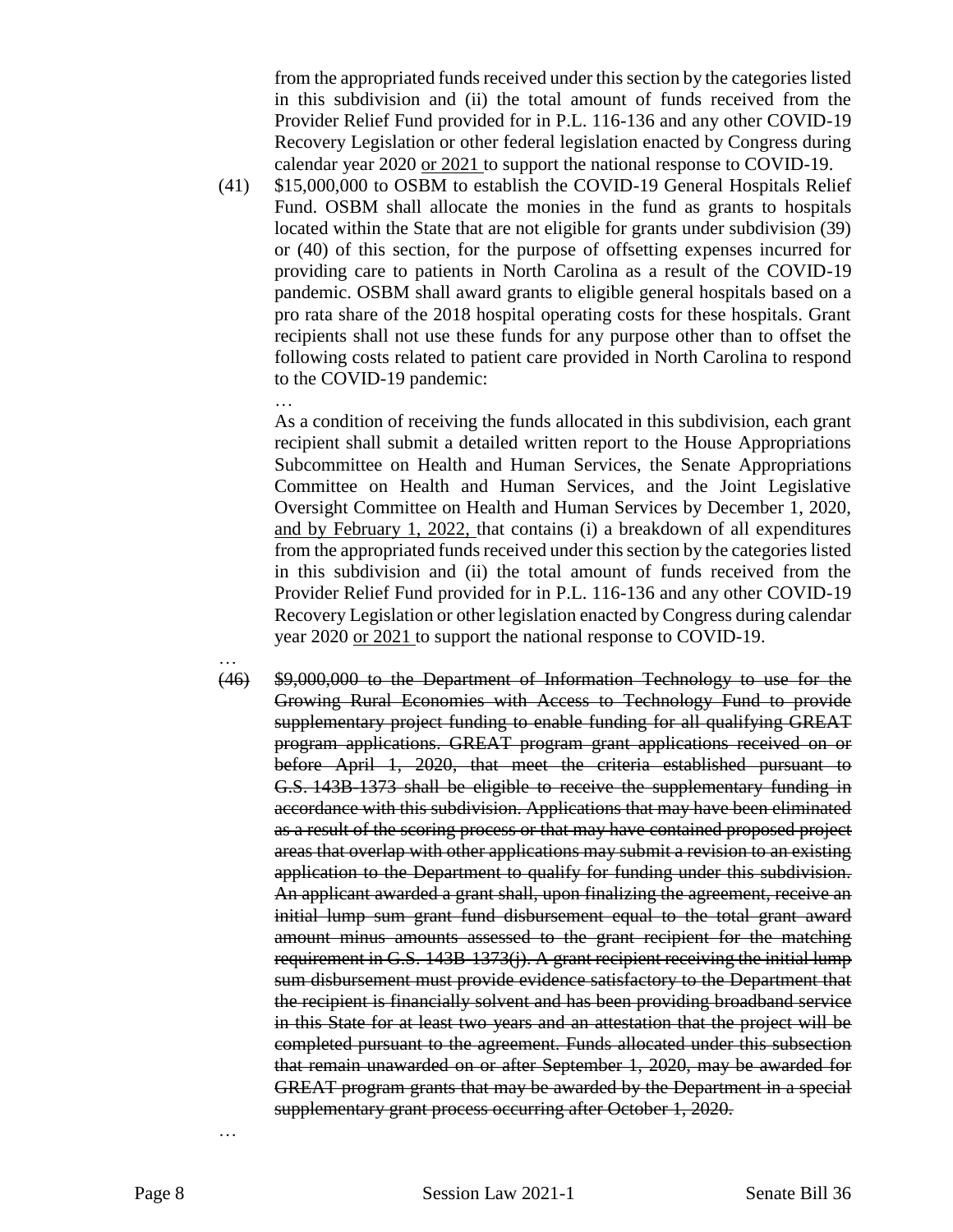from the appropriated funds received under this section by the categories listed in this subdivision and (ii) the total amount of funds received from the Provider Relief Fund provided for in P.L. 116-136 and any other COVID-19 Recovery Legislation or other federal legislation enacted by Congress during calendar year 2020 or 2021 to support the national response to COVID-19.

(41) \$15,000,000 to OSBM to establish the COVID-19 General Hospitals Relief Fund. OSBM shall allocate the monies in the fund as grants to hospitals located within the State that are not eligible for grants under subdivision (39) or (40) of this section, for the purpose of offsetting expenses incurred for providing care to patients in North Carolina as a result of the COVID-19 pandemic. OSBM shall award grants to eligible general hospitals based on a pro rata share of the 2018 hospital operating costs for these hospitals. Grant recipients shall not use these funds for any purpose other than to offset the following costs related to patient care provided in North Carolina to respond to the COVID-19 pandemic:

…

As a condition of receiving the funds allocated in this subdivision, each grant recipient shall submit a detailed written report to the House Appropriations Subcommittee on Health and Human Services, the Senate Appropriations Committee on Health and Human Services, and the Joint Legislative Oversight Committee on Health and Human Services by December 1, 2020, and by February 1, 2022, that contains (i) a breakdown of all expenditures from the appropriated funds received under this section by the categories listed in this subdivision and (ii) the total amount of funds received from the Provider Relief Fund provided for in P.L. 116-136 and any other COVID-19 Recovery Legislation or other legislation enacted by Congress during calendar year 2020 or 2021 to support the national response to COVID-19.

… (46) \$9,000,000 to the Department of Information Technology to use for the Growing Rural Economies with Access to Technology Fund to provide supplementary project funding to enable funding for all qualifying GREAT program applications. GREAT program grant applications received on or before April 1, 2020, that meet the criteria established pursuant to G.S. 143B-1373 shall be eligible to receive the supplementary funding in accordance with this subdivision. Applications that may have been eliminated as a result of the scoring process or that may have contained proposed project areas that overlap with other applications may submit a revision to an existing application to the Department to qualify for funding under this subdivision. An applicant awarded a grant shall, upon finalizing the agreement, receive an initial lump sum grant fund disbursement equal to the total grant award amount minus amounts assessed to the grant recipient for the matching requirement in G.S. 143B-1373(j). A grant recipient receiving the initial lump sum disbursement must provide evidence satisfactory to the Department that the recipient is financially solvent and has been providing broadband service in this State for at least two years and an attestation that the project will be completed pursuant to the agreement. Funds allocated under this subsection that remain unawarded on or after September 1, 2020, may be awarded for GREAT program grants that may be awarded by the Department in a special supplementary grant process occurring after October 1, 2020.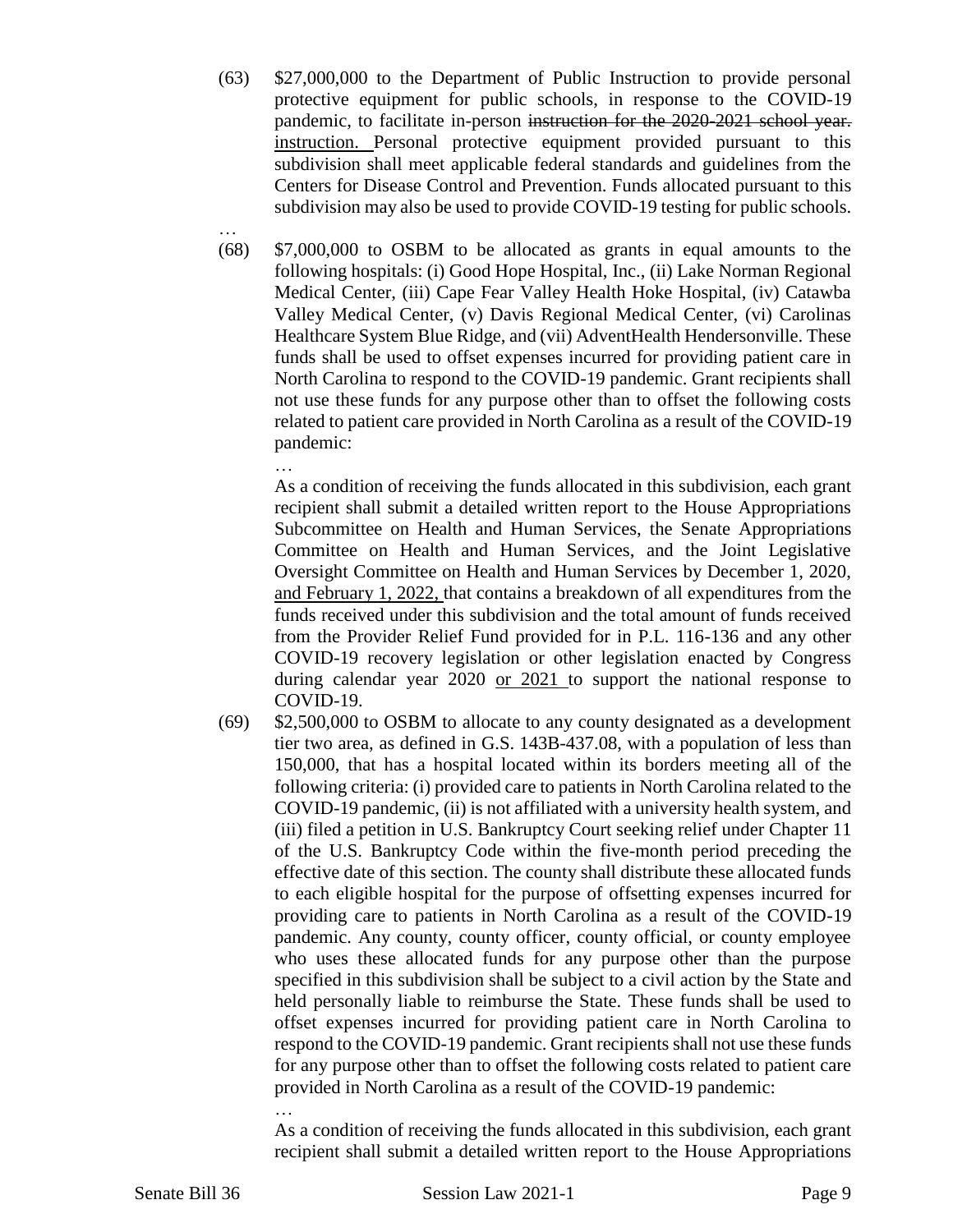- (63) \$27,000,000 to the Department of Public Instruction to provide personal protective equipment for public schools, in response to the COVID-19 pandemic, to facilitate in-person instruction for the 2020-2021 school year. instruction. Personal protective equipment provided pursuant to this subdivision shall meet applicable federal standards and guidelines from the Centers for Disease Control and Prevention. Funds allocated pursuant to this subdivision may also be used to provide COVID-19 testing for public schools.
- (68) \$7,000,000 to OSBM to be allocated as grants in equal amounts to the following hospitals: (i) Good Hope Hospital, Inc., (ii) Lake Norman Regional Medical Center, (iii) Cape Fear Valley Health Hoke Hospital, (iv) Catawba Valley Medical Center, (v) Davis Regional Medical Center, (vi) Carolinas Healthcare System Blue Ridge, and (vii) AdventHealth Hendersonville. These funds shall be used to offset expenses incurred for providing patient care in North Carolina to respond to the COVID-19 pandemic. Grant recipients shall not use these funds for any purpose other than to offset the following costs related to patient care provided in North Carolina as a result of the COVID-19 pandemic:

As a condition of receiving the funds allocated in this subdivision, each grant recipient shall submit a detailed written report to the House Appropriations Subcommittee on Health and Human Services, the Senate Appropriations Committee on Health and Human Services, and the Joint Legislative Oversight Committee on Health and Human Services by December 1, 2020, and February 1, 2022, that contains a breakdown of all expenditures from the funds received under this subdivision and the total amount of funds received from the Provider Relief Fund provided for in P.L. 116-136 and any other COVID-19 recovery legislation or other legislation enacted by Congress during calendar year 2020 or 2021 to support the national response to COVID-19.

(69) \$2,500,000 to OSBM to allocate to any county designated as a development tier two area, as defined in G.S. 143B-437.08, with a population of less than 150,000, that has a hospital located within its borders meeting all of the following criteria: (i) provided care to patients in North Carolina related to the COVID-19 pandemic, (ii) is not affiliated with a university health system, and (iii) filed a petition in U.S. Bankruptcy Court seeking relief under Chapter 11 of the U.S. Bankruptcy Code within the five-month period preceding the effective date of this section. The county shall distribute these allocated funds to each eligible hospital for the purpose of offsetting expenses incurred for providing care to patients in North Carolina as a result of the COVID-19 pandemic. Any county, county officer, county official, or county employee who uses these allocated funds for any purpose other than the purpose specified in this subdivision shall be subject to a civil action by the State and held personally liable to reimburse the State. These funds shall be used to offset expenses incurred for providing patient care in North Carolina to respond to the COVID-19 pandemic. Grant recipients shall not use these funds for any purpose other than to offset the following costs related to patient care provided in North Carolina as a result of the COVID-19 pandemic:

… As a condition of receiving the funds allocated in this subdivision, each grant recipient shall submit a detailed written report to the House Appropriations

…

…

Senate Bill 36 Session Law 2021-1 Page 9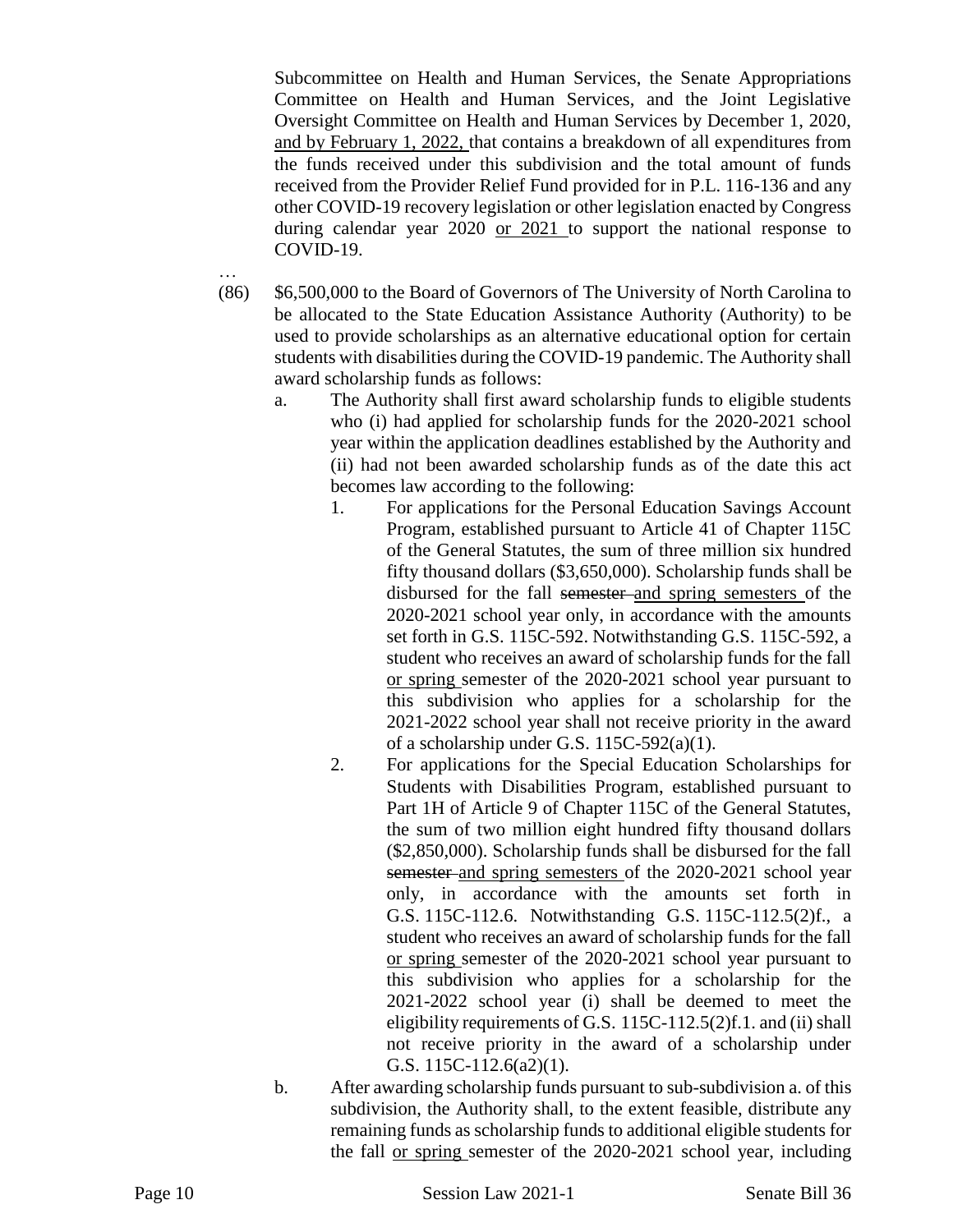Subcommittee on Health and Human Services, the Senate Appropriations Committee on Health and Human Services, and the Joint Legislative Oversight Committee on Health and Human Services by December 1, 2020, and by February 1, 2022, that contains a breakdown of all expenditures from the funds received under this subdivision and the total amount of funds received from the Provider Relief Fund provided for in P.L. 116-136 and any other COVID-19 recovery legislation or other legislation enacted by Congress during calendar year 2020 or 2021 to support the national response to COVID-19.

- (86) \$6,500,000 to the Board of Governors of The University of North Carolina to be allocated to the State Education Assistance Authority (Authority) to be used to provide scholarships as an alternative educational option for certain students with disabilities during the COVID-19 pandemic. The Authority shall award scholarship funds as follows:
	- a. The Authority shall first award scholarship funds to eligible students who (i) had applied for scholarship funds for the 2020-2021 school year within the application deadlines established by the Authority and (ii) had not been awarded scholarship funds as of the date this act becomes law according to the following:
		- 1. For applications for the Personal Education Savings Account Program, established pursuant to Article 41 of Chapter 115C of the General Statutes, the sum of three million six hundred fifty thousand dollars (\$3,650,000). Scholarship funds shall be disbursed for the fall semester and spring semesters of the 2020-2021 school year only, in accordance with the amounts set forth in G.S. 115C-592. Notwithstanding G.S. 115C-592, a student who receives an award of scholarship funds for the fall or spring semester of the 2020-2021 school year pursuant to this subdivision who applies for a scholarship for the 2021-2022 school year shall not receive priority in the award of a scholarship under G.S. 115C-592(a)(1).
		- 2. For applications for the Special Education Scholarships for Students with Disabilities Program, established pursuant to Part 1H of Article 9 of Chapter 115C of the General Statutes, the sum of two million eight hundred fifty thousand dollars (\$2,850,000). Scholarship funds shall be disbursed for the fall semester and spring semesters of the 2020-2021 school year only, in accordance with the amounts set forth in G.S. 115C-112.6. Notwithstanding G.S. 115C-112.5(2)f., a student who receives an award of scholarship funds for the fall or spring semester of the 2020-2021 school year pursuant to this subdivision who applies for a scholarship for the 2021-2022 school year (i) shall be deemed to meet the eligibility requirements of G.S. 115C-112.5(2)f.1. and (ii) shall not receive priority in the award of a scholarship under G.S. 115C-112.6(a2)(1).
	- b. After awarding scholarship funds pursuant to sub-subdivision a. of this subdivision, the Authority shall, to the extent feasible, distribute any remaining funds as scholarship funds to additional eligible students for the fall or spring semester of the 2020-2021 school year, including

…

Page 10 Session Law 2021-1 Senate Bill 36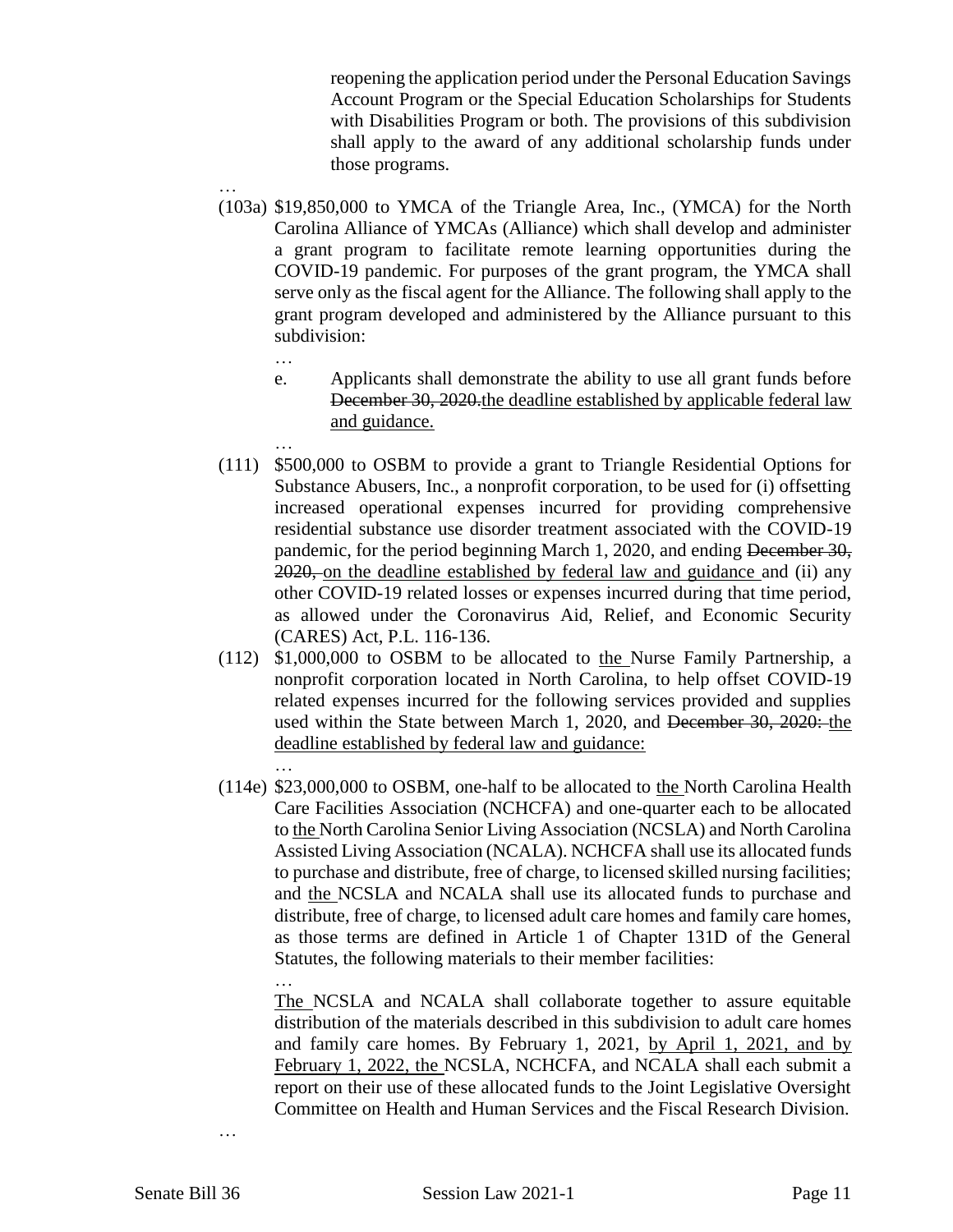reopening the application period under the Personal Education Savings Account Program or the Special Education Scholarships for Students with Disabilities Program or both. The provisions of this subdivision shall apply to the award of any additional scholarship funds under those programs.

- (103a) \$19,850,000 to YMCA of the Triangle Area, Inc., (YMCA) for the North Carolina Alliance of YMCAs (Alliance) which shall develop and administer a grant program to facilitate remote learning opportunities during the COVID-19 pandemic. For purposes of the grant program, the YMCA shall serve only as the fiscal agent for the Alliance. The following shall apply to the grant program developed and administered by the Alliance pursuant to this subdivision:
	- …

…

…

- e. Applicants shall demonstrate the ability to use all grant funds before December 30, 2020 the deadline established by applicable federal law and guidance.
- … (111) \$500,000 to OSBM to provide a grant to Triangle Residential Options for Substance Abusers, Inc., a nonprofit corporation, to be used for (i) offsetting increased operational expenses incurred for providing comprehensive residential substance use disorder treatment associated with the COVID-19 pandemic, for the period beginning March 1, 2020, and ending December 30, 2020, on the deadline established by federal law and guidance and (ii) any other COVID-19 related losses or expenses incurred during that time period, as allowed under the Coronavirus Aid, Relief, and Economic Security (CARES) Act, P.L. 116-136.
- (112) \$1,000,000 to OSBM to be allocated to the Nurse Family Partnership, a nonprofit corporation located in North Carolina, to help offset COVID-19 related expenses incurred for the following services provided and supplies used within the State between March 1, 2020, and <del>December 30, 2020:</del> the deadline established by federal law and guidance:
- (114e) \$23,000,000 to OSBM, one-half to be allocated to the North Carolina Health Care Facilities Association (NCHCFA) and one-quarter each to be allocated to the North Carolina Senior Living Association (NCSLA) and North Carolina Assisted Living Association (NCALA). NCHCFA shall use its allocated funds to purchase and distribute, free of charge, to licensed skilled nursing facilities; and the NCSLA and NCALA shall use its allocated funds to purchase and distribute, free of charge, to licensed adult care homes and family care homes, as those terms are defined in Article 1 of Chapter 131D of the General Statutes, the following materials to their member facilities:

… The NCSLA and NCALA shall collaborate together to assure equitable distribution of the materials described in this subdivision to adult care homes and family care homes. By February 1, 2021, by April 1, 2021, and by February 1, 2022, the NCSLA, NCHCFA, and NCALA shall each submit a report on their use of these allocated funds to the Joint Legislative Oversight Committee on Health and Human Services and the Fiscal Research Division.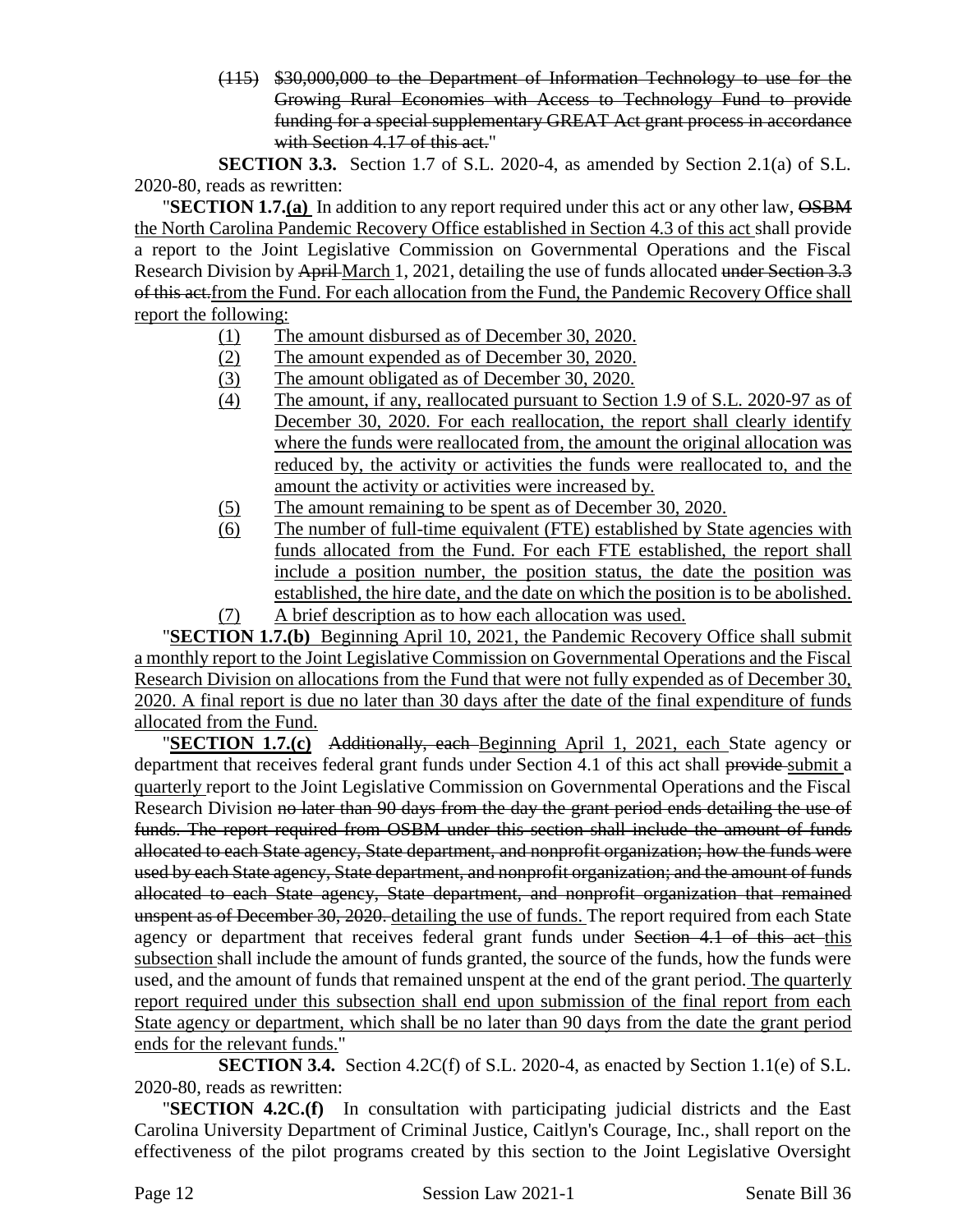(115) \$30,000,000 to the Department of Information Technology to use for the Growing Rural Economies with Access to Technology Fund to provide funding for a special supplementary GREAT Act grant process in accordance with Section 4.17 of this act."

**SECTION 3.3.** Section 1.7 of S.L. 2020-4, as amended by Section 2.1(a) of S.L. 2020-80, reads as rewritten:

**"SECTION 1.7.(a)** In addition to any report required under this act or any other law,  $\overrightarrow{OSBM}$ the North Carolina Pandemic Recovery Office established in Section 4.3 of this act shall provide a report to the Joint Legislative Commission on Governmental Operations and the Fiscal Research Division by April March 1, 2021, detailing the use of funds allocated under Section 3.3 of this act.from the Fund. For each allocation from the Fund, the Pandemic Recovery Office shall report the following:

- (1) The amount disbursed as of December 30, 2020.
- (2) The amount expended as of December 30, 2020.
- (3) The amount obligated as of December 30, 2020.
- (4) The amount, if any, reallocated pursuant to Section 1.9 of S.L. 2020-97 as of December 30, 2020. For each reallocation, the report shall clearly identify where the funds were reallocated from, the amount the original allocation was reduced by, the activity or activities the funds were reallocated to, and the amount the activity or activities were increased by.
- (5) The amount remaining to be spent as of December 30, 2020.
- (6) The number of full-time equivalent (FTE) established by State agencies with funds allocated from the Fund. For each FTE established, the report shall include a position number, the position status, the date the position was established, the hire date, and the date on which the position is to be abolished. (7) A brief description as to how each allocation was used.

"**SECTION 1.7.(b)** Beginning April 10, 2021, the Pandemic Recovery Office shall submit a monthly report to the Joint Legislative Commission on Governmental Operations and the Fiscal Research Division on allocations from the Fund that were not fully expended as of December 30, 2020. A final report is due no later than 30 days after the date of the final expenditure of funds allocated from the Fund.

"**SECTION 1.7.(c)** Additionally, each Beginning April 1, 2021, each State agency or department that receives federal grant funds under Section 4.1 of this act shall provide submit a quarterly report to the Joint Legislative Commission on Governmental Operations and the Fiscal Research Division no later than 90 days from the day the grant period ends detailing the use of funds. The report required from OSBM under this section shall include the amount of funds allocated to each State agency, State department, and nonprofit organization; how the funds were used by each State agency, State department, and nonprofit organization; and the amount of funds allocated to each State agency, State department, and nonprofit organization that remained unspent as of December 30, 2020. detailing the use of funds. The report required from each State agency or department that receives federal grant funds under Section 4.1 of this act this subsection shall include the amount of funds granted, the source of the funds, how the funds were used, and the amount of funds that remained unspent at the end of the grant period. The quarterly report required under this subsection shall end upon submission of the final report from each State agency or department, which shall be no later than 90 days from the date the grant period ends for the relevant funds."

**SECTION 3.4.** Section 4.2C(f) of S.L. 2020-4, as enacted by Section 1.1(e) of S.L. 2020-80, reads as rewritten:

"**SECTION 4.2C.(f)** In consultation with participating judicial districts and the East Carolina University Department of Criminal Justice, Caitlyn's Courage, Inc., shall report on the effectiveness of the pilot programs created by this section to the Joint Legislative Oversight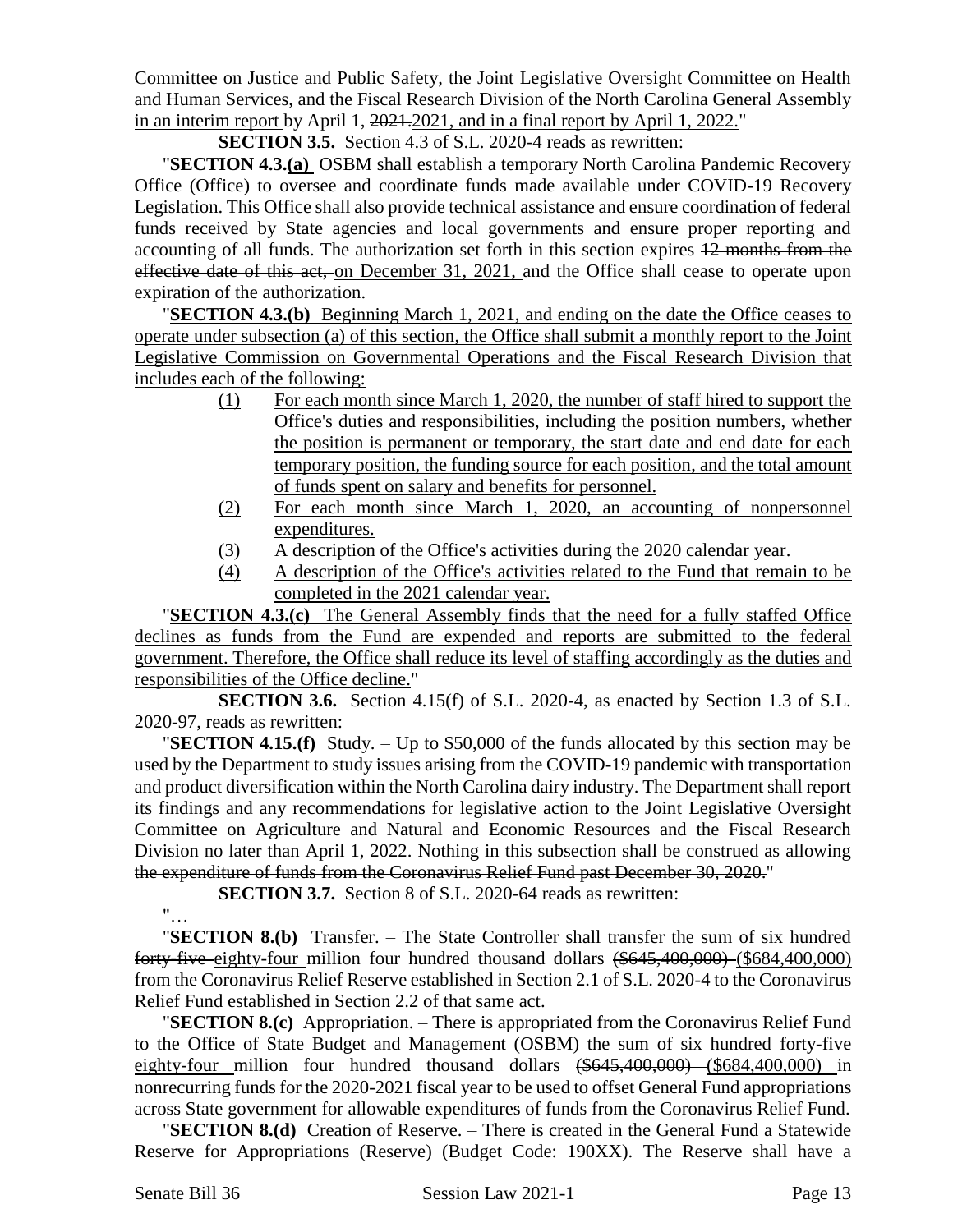Committee on Justice and Public Safety, the Joint Legislative Oversight Committee on Health and Human Services, and the Fiscal Research Division of the North Carolina General Assembly in an interim report by April 1, 2021.2021, and in a final report by April 1, 2022."

**SECTION 3.5.** Section 4.3 of S.L. 2020-4 reads as rewritten:

"**SECTION 4.3.(a)** OSBM shall establish a temporary North Carolina Pandemic Recovery Office (Office) to oversee and coordinate funds made available under COVID-19 Recovery Legislation. This Office shall also provide technical assistance and ensure coordination of federal funds received by State agencies and local governments and ensure proper reporting and accounting of all funds. The authorization set forth in this section expires 12 months from the effective date of this act, on December 31, 2021, and the Office shall cease to operate upon expiration of the authorization.

"**SECTION 4.3.(b)** Beginning March 1, 2021, and ending on the date the Office ceases to operate under subsection (a) of this section, the Office shall submit a monthly report to the Joint Legislative Commission on Governmental Operations and the Fiscal Research Division that includes each of the following:

- (1) For each month since March 1, 2020, the number of staff hired to support the Office's duties and responsibilities, including the position numbers, whether the position is permanent or temporary, the start date and end date for each temporary position, the funding source for each position, and the total amount of funds spent on salary and benefits for personnel.
- (2) For each month since March 1, 2020, an accounting of nonpersonnel expenditures.
- (3) A description of the Office's activities during the 2020 calendar year.
- (4) A description of the Office's activities related to the Fund that remain to be completed in the 2021 calendar year.

"**SECTION 4.3.(c)** The General Assembly finds that the need for a fully staffed Office declines as funds from the Fund are expended and reports are submitted to the federal government. Therefore, the Office shall reduce its level of staffing accordingly as the duties and responsibilities of the Office decline."

**SECTION 3.6.** Section 4.15(f) of S.L. 2020-4, as enacted by Section 1.3 of S.L. 2020-97, reads as rewritten:

"**SECTION 4.15.(f)** Study. – Up to \$50,000 of the funds allocated by this section may be used by the Department to study issues arising from the COVID-19 pandemic with transportation and product diversification within the North Carolina dairy industry. The Department shall report its findings and any recommendations for legislative action to the Joint Legislative Oversight Committee on Agriculture and Natural and Economic Resources and the Fiscal Research Division no later than April 1, 2022. Nothing in this subsection shall be construed as allowing the expenditure of funds from the Coronavirus Relief Fund past December 30, 2020."

**SECTION 3.7.** Section 8 of S.L. 2020-64 reads as rewritten:

"…

"**SECTION 8.(b)** Transfer. – The State Controller shall transfer the sum of six hundred forty-five eighty-four million four hundred thousand dollars (\$645,400,000) (\$684,400,000) from the Coronavirus Relief Reserve established in Section 2.1 of S.L. 2020-4 to the Coronavirus Relief Fund established in Section 2.2 of that same act.

"**SECTION 8.(c)** Appropriation. – There is appropriated from the Coronavirus Relief Fund to the Office of State Budget and Management (OSBM) the sum of six hundred forty-five eighty-four million four hundred thousand dollars (\$645,400,000) (\$684,400,000) in nonrecurring funds for the 2020-2021 fiscal year to be used to offset General Fund appropriations across State government for allowable expenditures of funds from the Coronavirus Relief Fund.

"**SECTION 8.(d)** Creation of Reserve. – There is created in the General Fund a Statewide Reserve for Appropriations (Reserve) (Budget Code: 190XX). The Reserve shall have a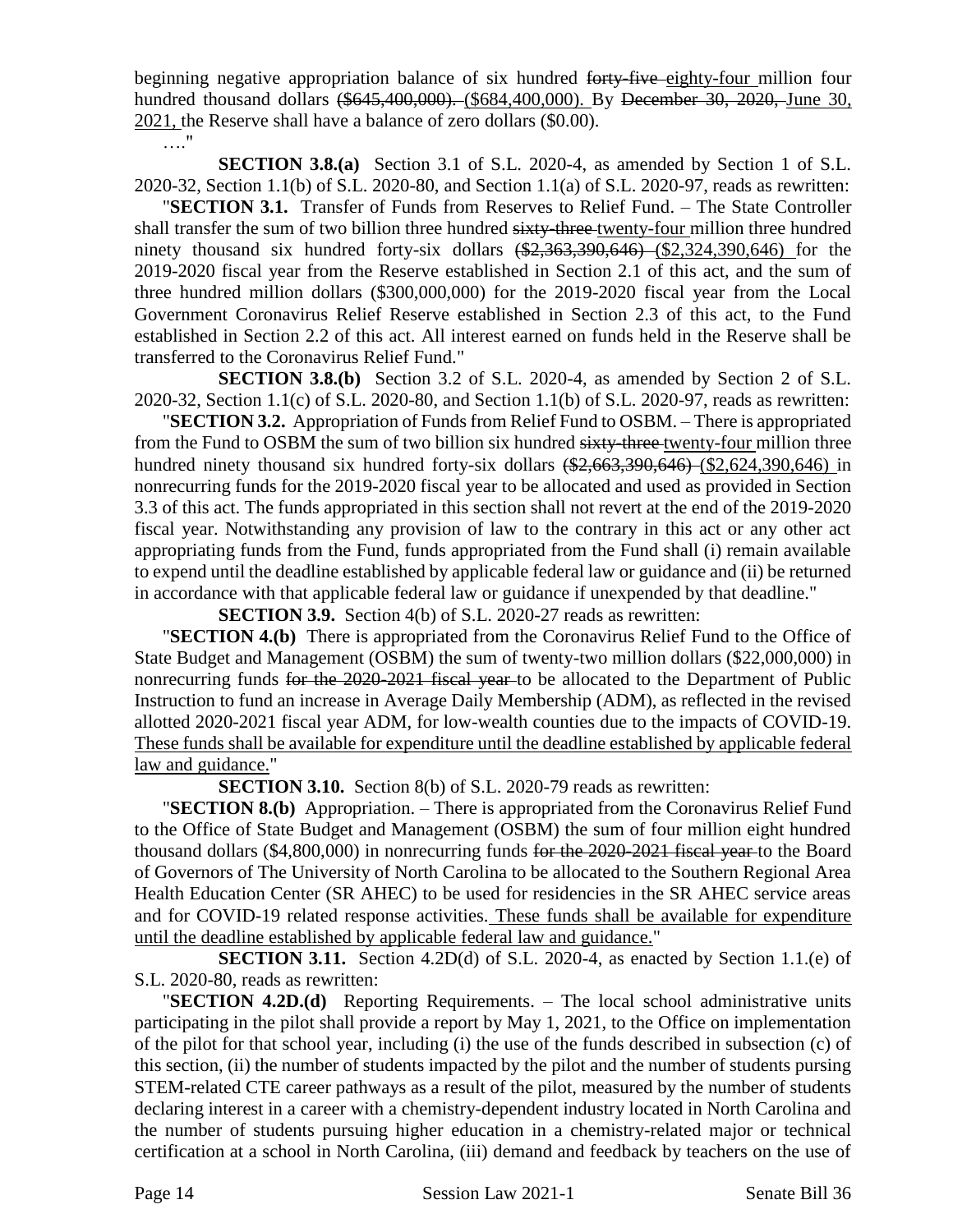beginning negative appropriation balance of six hundred forty-five eighty-four million four hundred thousand dollars (\$645,400,000). (\$684,400,000). By December 30, 2020, June 30, 2021, the Reserve shall have a balance of zero dollars (\$0.00).

…."

**SECTION 3.8.(a)** Section 3.1 of S.L. 2020-4, as amended by Section 1 of S.L. 2020-32, Section 1.1(b) of S.L. 2020-80, and Section 1.1(a) of S.L. 2020-97, reads as rewritten:

"**SECTION 3.1.** Transfer of Funds from Reserves to Relief Fund. – The State Controller shall transfer the sum of two billion three hundred sixty-three-twenty-four million three hundred ninety thousand six hundred forty-six dollars  $(*2,363,390,646)$   $(*2,324,390,646)$  for the 2019-2020 fiscal year from the Reserve established in Section 2.1 of this act, and the sum of three hundred million dollars (\$300,000,000) for the 2019-2020 fiscal year from the Local Government Coronavirus Relief Reserve established in Section 2.3 of this act, to the Fund established in Section 2.2 of this act. All interest earned on funds held in the Reserve shall be transferred to the Coronavirus Relief Fund."

**SECTION 3.8.(b)** Section 3.2 of S.L. 2020-4, as amended by Section 2 of S.L. 2020-32, Section 1.1(c) of S.L. 2020-80, and Section 1.1(b) of S.L. 2020-97, reads as rewritten:

"**SECTION 3.2.** Appropriation of Funds from Relief Fund to OSBM. – There is appropriated from the Fund to OSBM the sum of two billion six hundred sixty-three twenty-four million three hundred ninety thousand six hundred forty-six dollars (\$2,663,390,646) (\$2,624,390,646) in nonrecurring funds for the 2019-2020 fiscal year to be allocated and used as provided in Section 3.3 of this act. The funds appropriated in this section shall not revert at the end of the 2019-2020 fiscal year. Notwithstanding any provision of law to the contrary in this act or any other act appropriating funds from the Fund, funds appropriated from the Fund shall (i) remain available to expend until the deadline established by applicable federal law or guidance and (ii) be returned in accordance with that applicable federal law or guidance if unexpended by that deadline."

**SECTION 3.9.** Section 4(b) of S.L. 2020-27 reads as rewritten:

"**SECTION 4.(b)** There is appropriated from the Coronavirus Relief Fund to the Office of State Budget and Management (OSBM) the sum of twenty-two million dollars (\$22,000,000) in nonrecurring funds for the 2020-2021 fiscal year to be allocated to the Department of Public Instruction to fund an increase in Average Daily Membership (ADM), as reflected in the revised allotted 2020-2021 fiscal year ADM, for low-wealth counties due to the impacts of COVID-19. These funds shall be available for expenditure until the deadline established by applicable federal law and guidance."

**SECTION 3.10.** Section 8(b) of S.L. 2020-79 reads as rewritten:

"**SECTION 8.(b)** Appropriation. – There is appropriated from the Coronavirus Relief Fund to the Office of State Budget and Management (OSBM) the sum of four million eight hundred thousand dollars (\$4,800,000) in nonrecurring funds for the 2020-2021 fiscal year to the Board of Governors of The University of North Carolina to be allocated to the Southern Regional Area Health Education Center (SR AHEC) to be used for residencies in the SR AHEC service areas and for COVID-19 related response activities. These funds shall be available for expenditure until the deadline established by applicable federal law and guidance."

**SECTION 3.11.** Section 4.2D(d) of S.L. 2020-4, as enacted by Section 1.1.(e) of S.L. 2020-80, reads as rewritten:

"**SECTION 4.2D.(d)** Reporting Requirements. – The local school administrative units participating in the pilot shall provide a report by May 1, 2021, to the Office on implementation of the pilot for that school year, including (i) the use of the funds described in subsection (c) of this section, (ii) the number of students impacted by the pilot and the number of students pursing STEM-related CTE career pathways as a result of the pilot, measured by the number of students declaring interest in a career with a chemistry-dependent industry located in North Carolina and the number of students pursuing higher education in a chemistry-related major or technical certification at a school in North Carolina, (iii) demand and feedback by teachers on the use of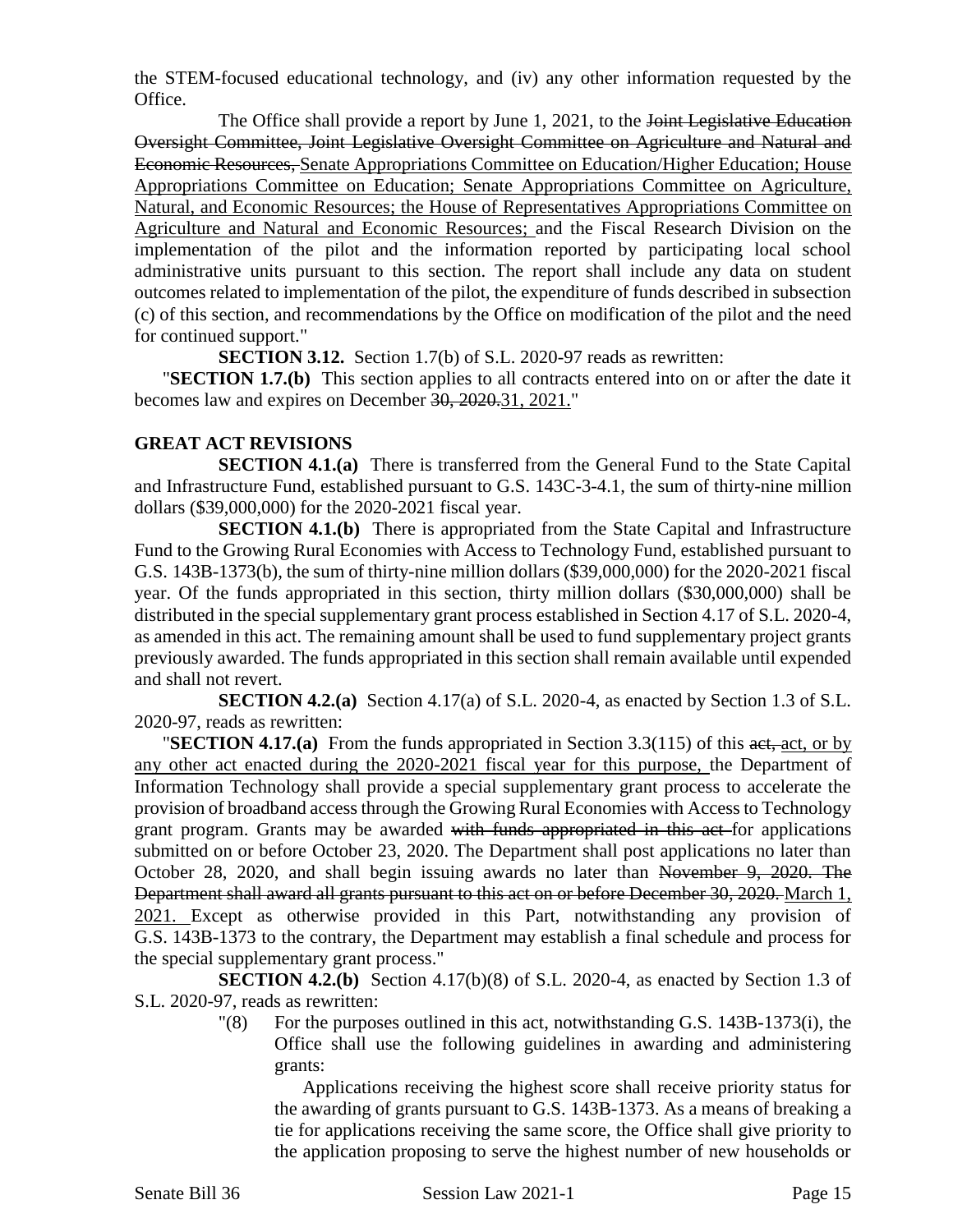the STEM-focused educational technology, and (iv) any other information requested by the Office.

The Office shall provide a report by June 1, 2021, to the <del>Joint Legislative Education</del> Oversight Committee, Joint Legislative Oversight Committee on Agriculture and Natural and Economic Resources, Senate Appropriations Committee on Education/Higher Education; House Appropriations Committee on Education; Senate Appropriations Committee on Agriculture, Natural, and Economic Resources; the House of Representatives Appropriations Committee on Agriculture and Natural and Economic Resources; and the Fiscal Research Division on the implementation of the pilot and the information reported by participating local school administrative units pursuant to this section. The report shall include any data on student outcomes related to implementation of the pilot, the expenditure of funds described in subsection (c) of this section, and recommendations by the Office on modification of the pilot and the need for continued support."

**SECTION 3.12.** Section 1.7(b) of S.L. 2020-97 reads as rewritten:

"**SECTION 1.7.(b)** This section applies to all contracts entered into on or after the date it becomes law and expires on December 30, 2020.31, 2021."

### **GREAT ACT REVISIONS**

**SECTION 4.1.(a)** There is transferred from the General Fund to the State Capital and Infrastructure Fund, established pursuant to G.S. 143C-3-4.1, the sum of thirty-nine million dollars (\$39,000,000) for the 2020-2021 fiscal year.

**SECTION 4.1.(b)** There is appropriated from the State Capital and Infrastructure Fund to the Growing Rural Economies with Access to Technology Fund, established pursuant to G.S. 143B-1373(b), the sum of thirty-nine million dollars (\$39,000,000) for the 2020-2021 fiscal year. Of the funds appropriated in this section, thirty million dollars (\$30,000,000) shall be distributed in the special supplementary grant process established in Section 4.17 of S.L. 2020-4, as amended in this act. The remaining amount shall be used to fund supplementary project grants previously awarded. The funds appropriated in this section shall remain available until expended and shall not revert.

**SECTION 4.2.(a)** Section 4.17(a) of S.L. 2020-4, as enacted by Section 1.3 of S.L. 2020-97, reads as rewritten:

"**SECTION 4.17.(a)** From the funds appropriated in Section 3.3(115) of this act, act, or by any other act enacted during the 2020-2021 fiscal year for this purpose, the Department of Information Technology shall provide a special supplementary grant process to accelerate the provision of broadband access through the Growing Rural Economies with Access to Technology grant program. Grants may be awarded with funds appropriated in this act for applications submitted on or before October 23, 2020. The Department shall post applications no later than October 28, 2020, and shall begin issuing awards no later than November 9, 2020. The Department shall award all grants pursuant to this act on or before December 30, 2020. March 1, 2021. Except as otherwise provided in this Part, notwithstanding any provision of G.S. 143B-1373 to the contrary, the Department may establish a final schedule and process for the special supplementary grant process."

**SECTION 4.2.(b)** Section 4.17(b)(8) of S.L. 2020-4, as enacted by Section 1.3 of S.L. 2020-97, reads as rewritten:

> $\degree$  (8) For the purposes outlined in this act, notwithstanding G.S. 143B-1373(i), the Office shall use the following guidelines in awarding and administering grants:

Applications receiving the highest score shall receive priority status for the awarding of grants pursuant to G.S. 143B-1373. As a means of breaking a tie for applications receiving the same score, the Office shall give priority to the application proposing to serve the highest number of new households or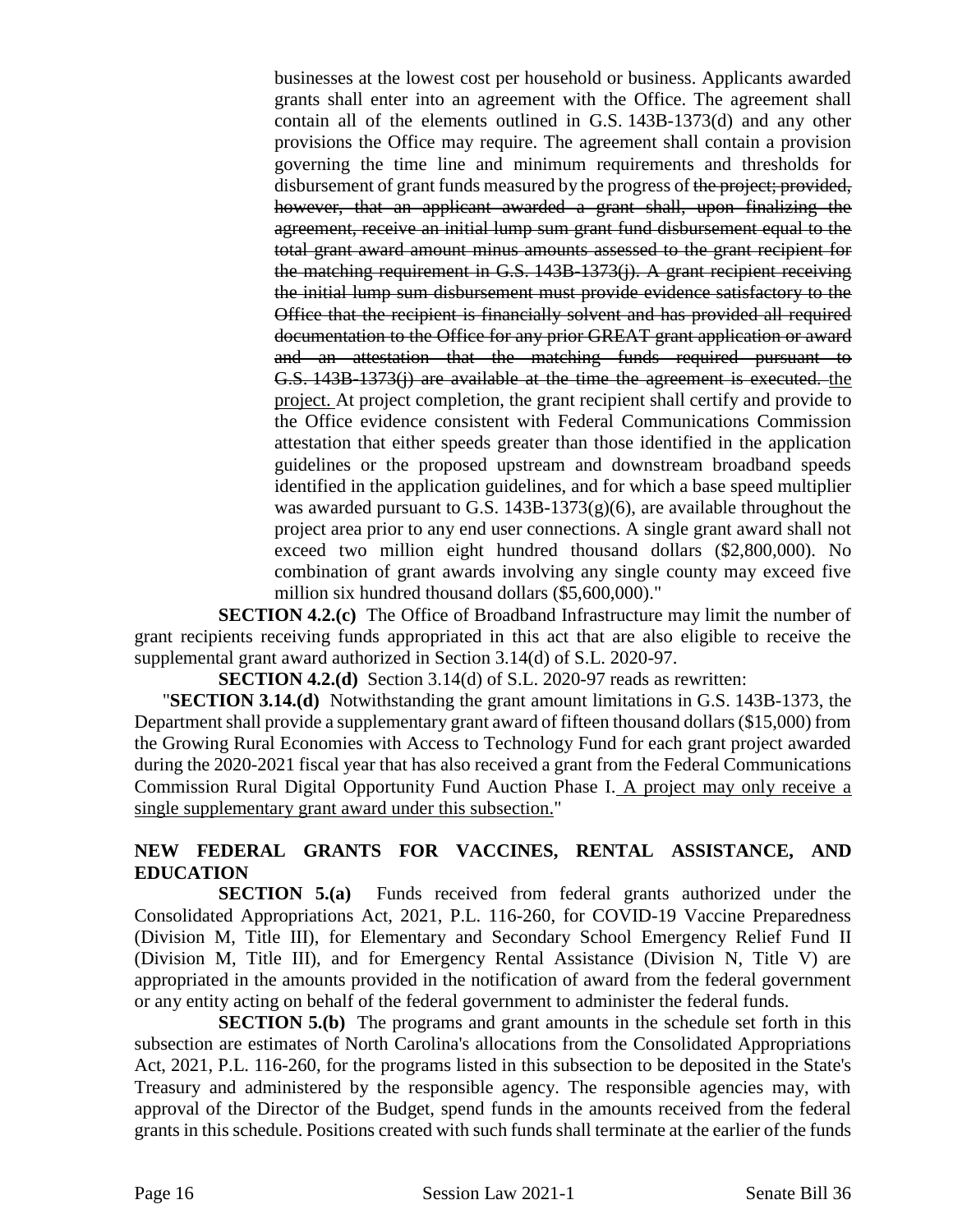businesses at the lowest cost per household or business. Applicants awarded grants shall enter into an agreement with the Office. The agreement shall contain all of the elements outlined in G.S. 143B-1373(d) and any other provisions the Office may require. The agreement shall contain a provision governing the time line and minimum requirements and thresholds for disbursement of grant funds measured by the progress of the project; provided, however, that an applicant awarded a grant shall, upon finalizing the agreement, receive an initial lump sum grant fund disbursement equal to the total grant award amount minus amounts assessed to the grant recipient for the matching requirement in G.S. 143B-1373(j). A grant recipient receiving the initial lump sum disbursement must provide evidence satisfactory to the Office that the recipient is financially solvent and has provided all required documentation to the Office for any prior GREAT grant application or award and an attestation that the matching funds required pursuant to G.S. 143B-1373(j) are available at the time the agreement is executed. the project. At project completion, the grant recipient shall certify and provide to the Office evidence consistent with Federal Communications Commission attestation that either speeds greater than those identified in the application guidelines or the proposed upstream and downstream broadband speeds identified in the application guidelines, and for which a base speed multiplier was awarded pursuant to G.S.  $143B-1373(g)(6)$ , are available throughout the project area prior to any end user connections. A single grant award shall not exceed two million eight hundred thousand dollars (\$2,800,000). No combination of grant awards involving any single county may exceed five million six hundred thousand dollars (\$5,600,000)."

**SECTION 4.2.(c)** The Office of Broadband Infrastructure may limit the number of grant recipients receiving funds appropriated in this act that are also eligible to receive the supplemental grant award authorized in Section 3.14(d) of S.L. 2020-97.

**SECTION 4.2.(d)** Section 3.14(d) of S.L. 2020-97 reads as rewritten:

"**SECTION 3.14.(d)** Notwithstanding the grant amount limitations in G.S. 143B-1373, the Department shall provide a supplementary grant award of fifteen thousand dollars (\$15,000) from the Growing Rural Economies with Access to Technology Fund for each grant project awarded during the 2020-2021 fiscal year that has also received a grant from the Federal Communications Commission Rural Digital Opportunity Fund Auction Phase I. A project may only receive a single supplementary grant award under this subsection."

# **NEW FEDERAL GRANTS FOR VACCINES, RENTAL ASSISTANCE, AND EDUCATION**

**SECTION 5.(a)** Funds received from federal grants authorized under the Consolidated Appropriations Act, 2021, P.L. 116-260, for COVID-19 Vaccine Preparedness (Division M, Title III), for Elementary and Secondary School Emergency Relief Fund II (Division M, Title III), and for Emergency Rental Assistance (Division N, Title V) are appropriated in the amounts provided in the notification of award from the federal government or any entity acting on behalf of the federal government to administer the federal funds.

**SECTION 5.(b)** The programs and grant amounts in the schedule set forth in this subsection are estimates of North Carolina's allocations from the Consolidated Appropriations Act, 2021, P.L. 116-260, for the programs listed in this subsection to be deposited in the State's Treasury and administered by the responsible agency. The responsible agencies may, with approval of the Director of the Budget, spend funds in the amounts received from the federal grants in this schedule. Positions created with such funds shall terminate at the earlier of the funds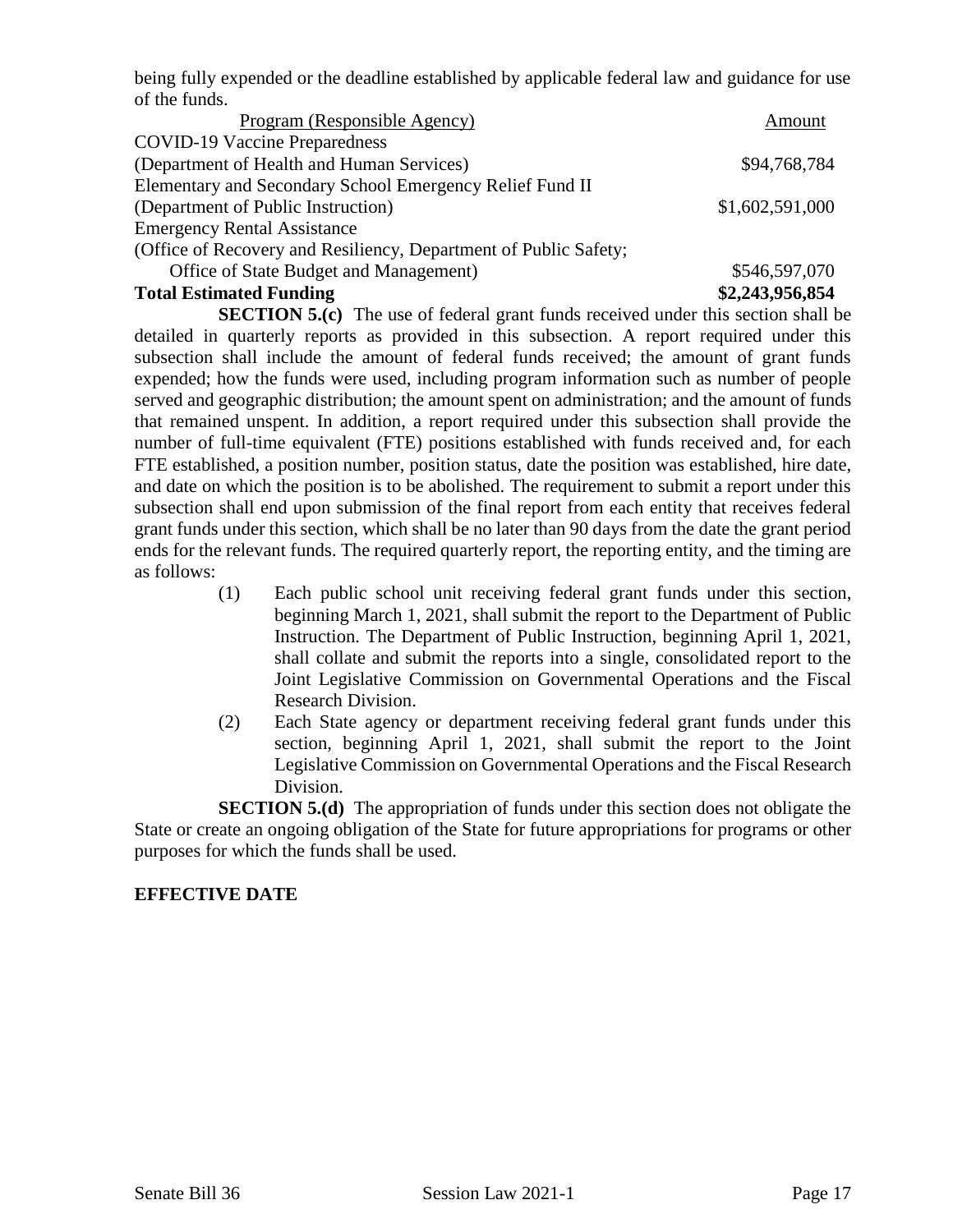being fully expended or the deadline established by applicable federal law and guidance for use of the funds.

| Program (Responsible Agency)                                     | Amount          |
|------------------------------------------------------------------|-----------------|
| <b>COVID-19 Vaccine Preparedness</b>                             |                 |
| (Department of Health and Human Services)                        | \$94,768,784    |
| Elementary and Secondary School Emergency Relief Fund II         |                 |
| (Department of Public Instruction)                               | \$1,602,591,000 |
| <b>Emergency Rental Assistance</b>                               |                 |
| (Office of Recovery and Resiliency, Department of Public Safety; |                 |
| Office of State Budget and Management)                           | \$546,597,070   |
| <b>Total Estimated Funding</b>                                   | \$2,243,956,854 |

**SECTION 5.(c)** The use of federal grant funds received under this section shall be detailed in quarterly reports as provided in this subsection. A report required under this subsection shall include the amount of federal funds received; the amount of grant funds expended; how the funds were used, including program information such as number of people served and geographic distribution; the amount spent on administration; and the amount of funds that remained unspent. In addition, a report required under this subsection shall provide the number of full-time equivalent (FTE) positions established with funds received and, for each FTE established, a position number, position status, date the position was established, hire date, and date on which the position is to be abolished. The requirement to submit a report under this subsection shall end upon submission of the final report from each entity that receives federal grant funds under this section, which shall be no later than 90 days from the date the grant period ends for the relevant funds. The required quarterly report, the reporting entity, and the timing are as follows:

- (1) Each public school unit receiving federal grant funds under this section, beginning March 1, 2021, shall submit the report to the Department of Public Instruction. The Department of Public Instruction, beginning April 1, 2021, shall collate and submit the reports into a single, consolidated report to the Joint Legislative Commission on Governmental Operations and the Fiscal Research Division.
- (2) Each State agency or department receiving federal grant funds under this section, beginning April 1, 2021, shall submit the report to the Joint Legislative Commission on Governmental Operations and the Fiscal Research Division.

**SECTION 5.(d)** The appropriation of funds under this section does not obligate the State or create an ongoing obligation of the State for future appropriations for programs or other purposes for which the funds shall be used.

# **EFFECTIVE DATE**